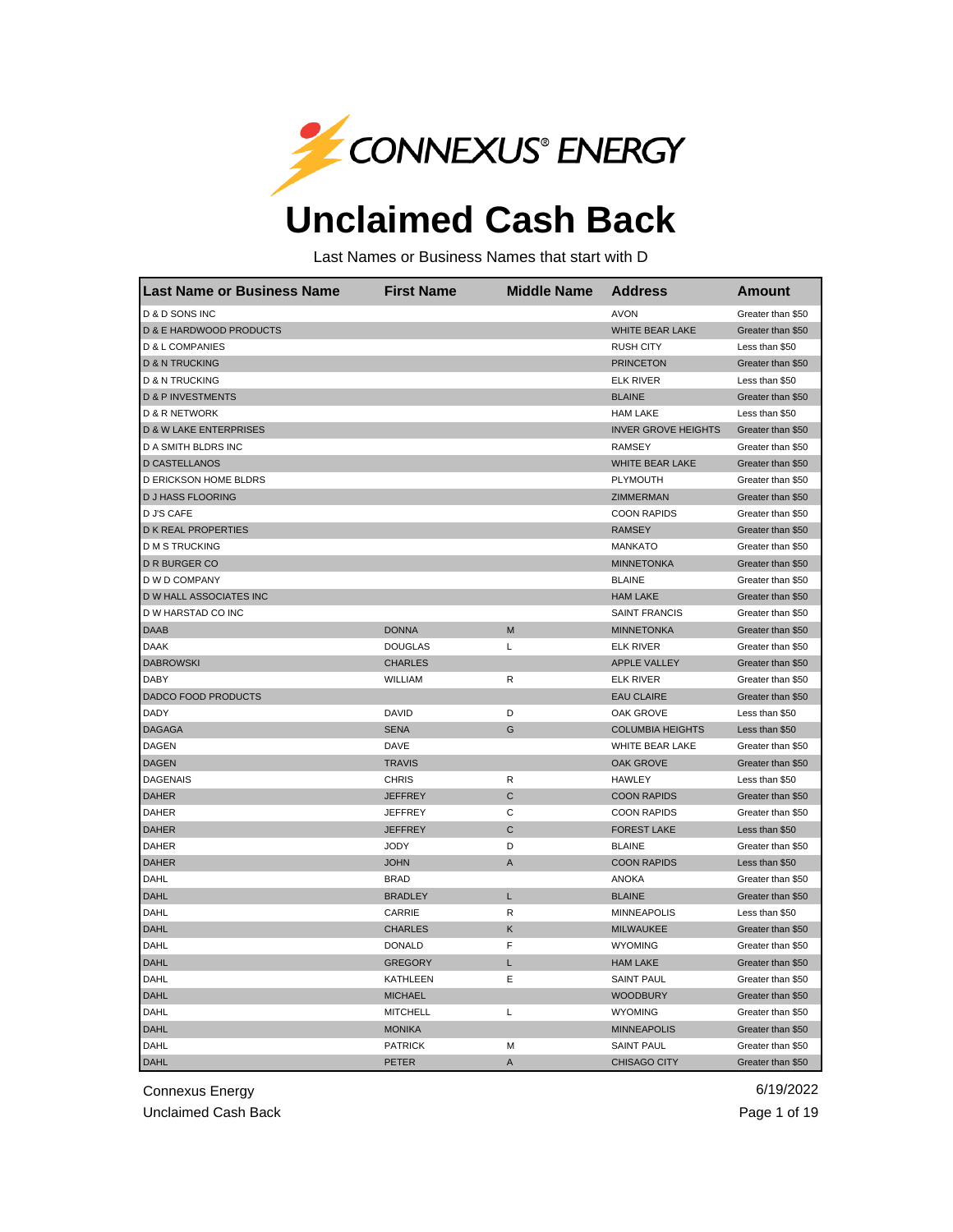

## **Unclaimed Cash Back**

Last Names or Business Names that start with D

| <b>Last Name or Business Name</b>  | <b>First Name</b> | <b>Middle Name</b> | <b>Address</b>             | Amount            |
|------------------------------------|-------------------|--------------------|----------------------------|-------------------|
| D & D SONS INC                     |                   |                    | <b>AVON</b>                | Greater than \$50 |
| <b>D &amp; E HARDWOOD PRODUCTS</b> |                   |                    | WHITE BEAR LAKE            | Greater than \$50 |
| D & L COMPANIES                    |                   |                    | <b>RUSH CITY</b>           | Less than \$50    |
| <b>D &amp; N TRUCKING</b>          |                   |                    | <b>PRINCETON</b>           | Greater than \$50 |
| D & N TRUCKING                     |                   |                    | <b>ELK RIVER</b>           | Less than \$50    |
| <b>D &amp; P INVESTMENTS</b>       |                   |                    | <b>BLAINE</b>              | Greater than \$50 |
| <b>D &amp; R NETWORK</b>           |                   |                    | <b>HAM LAKE</b>            | Less than \$50    |
| <b>D &amp; W LAKE ENTERPRISES</b>  |                   |                    | <b>INVER GROVE HEIGHTS</b> | Greater than \$50 |
| D A SMITH BLDRS INC                |                   |                    | <b>RAMSEY</b>              | Greater than \$50 |
| <b>D CASTELLANOS</b>               |                   |                    | <b>WHITE BEAR LAKE</b>     | Greater than \$50 |
| D ERICKSON HOME BLDRS              |                   |                    | PLYMOUTH                   | Greater than \$50 |
| <b>D J HASS FLOORING</b>           |                   |                    | ZIMMERMAN                  | Greater than \$50 |
| <b>D J'S CAFE</b>                  |                   |                    | <b>COON RAPIDS</b>         | Greater than \$50 |
| <b>D K REAL PROPERTIES</b>         |                   |                    | <b>RAMSEY</b>              | Greater than \$50 |
| <b>D M S TRUCKING</b>              |                   |                    | <b>MANKATO</b>             | Greater than \$50 |
| D R BURGER CO                      |                   |                    | <b>MINNETONKA</b>          | Greater than \$50 |
| D W D COMPANY                      |                   |                    | <b>BLAINE</b>              | Greater than \$50 |
| D W HALL ASSOCIATES INC            |                   |                    | <b>HAM LAKE</b>            | Greater than \$50 |
| D W HARSTAD CO INC                 |                   |                    | <b>SAINT FRANCIS</b>       | Greater than \$50 |
| DAAB                               | <b>DONNA</b>      | M                  | <b>MINNETONKA</b>          | Greater than \$50 |
| <b>DAAK</b>                        | <b>DOUGLAS</b>    | L                  | <b>ELK RIVER</b>           | Greater than \$50 |
| <b>DABROWSKI</b>                   | <b>CHARLES</b>    |                    | APPLE VALLEY               | Greater than \$50 |
| <b>DABY</b>                        | <b>WILLIAM</b>    | R                  | <b>ELK RIVER</b>           | Greater than \$50 |
| DADCO FOOD PRODUCTS                |                   |                    | <b>EAU CLAIRE</b>          | Greater than \$50 |
| DADY                               | <b>DAVID</b>      | D                  | <b>OAK GROVE</b>           | Less than \$50    |
| <b>DAGAGA</b>                      | <b>SENA</b>       | G                  | <b>COLUMBIA HEIGHTS</b>    | Less than \$50    |
| <b>DAGEN</b>                       | DAVE              |                    | WHITE BEAR LAKE            | Greater than \$50 |
| <b>DAGEN</b>                       | <b>TRAVIS</b>     |                    | <b>OAK GROVE</b>           | Greater than \$50 |
| <b>DAGENAIS</b>                    | <b>CHRIS</b>      | R                  | <b>HAWLEY</b>              | Less than \$50    |
| <b>DAHER</b>                       | <b>JEFFREY</b>    | $\mathsf{C}$       | <b>COON RAPIDS</b>         | Greater than \$50 |
| <b>DAHER</b>                       | <b>JEFFREY</b>    | С                  | <b>COON RAPIDS</b>         | Greater than \$50 |
| <b>DAHER</b>                       | <b>JEFFREY</b>    | $\mathsf{C}$       | <b>FOREST LAKE</b>         | Less than \$50    |
| DAHER                              | <b>JODY</b>       | D                  | <b>BLAINE</b>              | Greater than \$50 |
| <b>DAHER</b>                       | <b>JOHN</b>       | A                  | <b>COON RAPIDS</b>         | Less than \$50    |
| DAHL                               | <b>BRAD</b>       |                    | <b>ANOKA</b>               | Greater than \$50 |
| <b>DAHL</b>                        | <b>BRADLEY</b>    | L                  | <b>BLAINE</b>              | Greater than \$50 |
| DAHL                               | CARRIE            | R                  | <b>MINNEAPOLIS</b>         | Less than \$50    |
| <b>DAHL</b>                        | <b>CHARLES</b>    | Κ                  | MILWAUKEE                  | Greater than \$50 |
| DAHL                               | <b>DONALD</b>     | F                  | <b>WYOMING</b>             | Greater than \$50 |
| <b>DAHL</b>                        | <b>GREGORY</b>    | Г                  | <b>HAM LAKE</b>            | Greater than \$50 |
| DAHL                               | <b>KATHLEEN</b>   | Е                  | <b>SAINT PAUL</b>          | Greater than \$50 |
| <b>DAHL</b>                        | <b>MICHAEL</b>    |                    | <b>WOODBURY</b>            | Greater than \$50 |
| DAHL                               | <b>MITCHELL</b>   | L                  | <b>WYOMING</b>             | Greater than \$50 |
| <b>DAHL</b>                        | <b>MONIKA</b>     |                    | <b>MINNEAPOLIS</b>         | Greater than \$50 |
| <b>DAHL</b>                        | <b>PATRICK</b>    | M                  | <b>SAINT PAUL</b>          | Greater than \$50 |
| <b>DAHL</b>                        | <b>PETER</b>      | $\mathsf A$        | <b>CHISAGO CITY</b>        | Greater than \$50 |

Connexus Energy 6/19/2022

Unclaimed Cash Back **Page 1 of 19** Page 1 of 19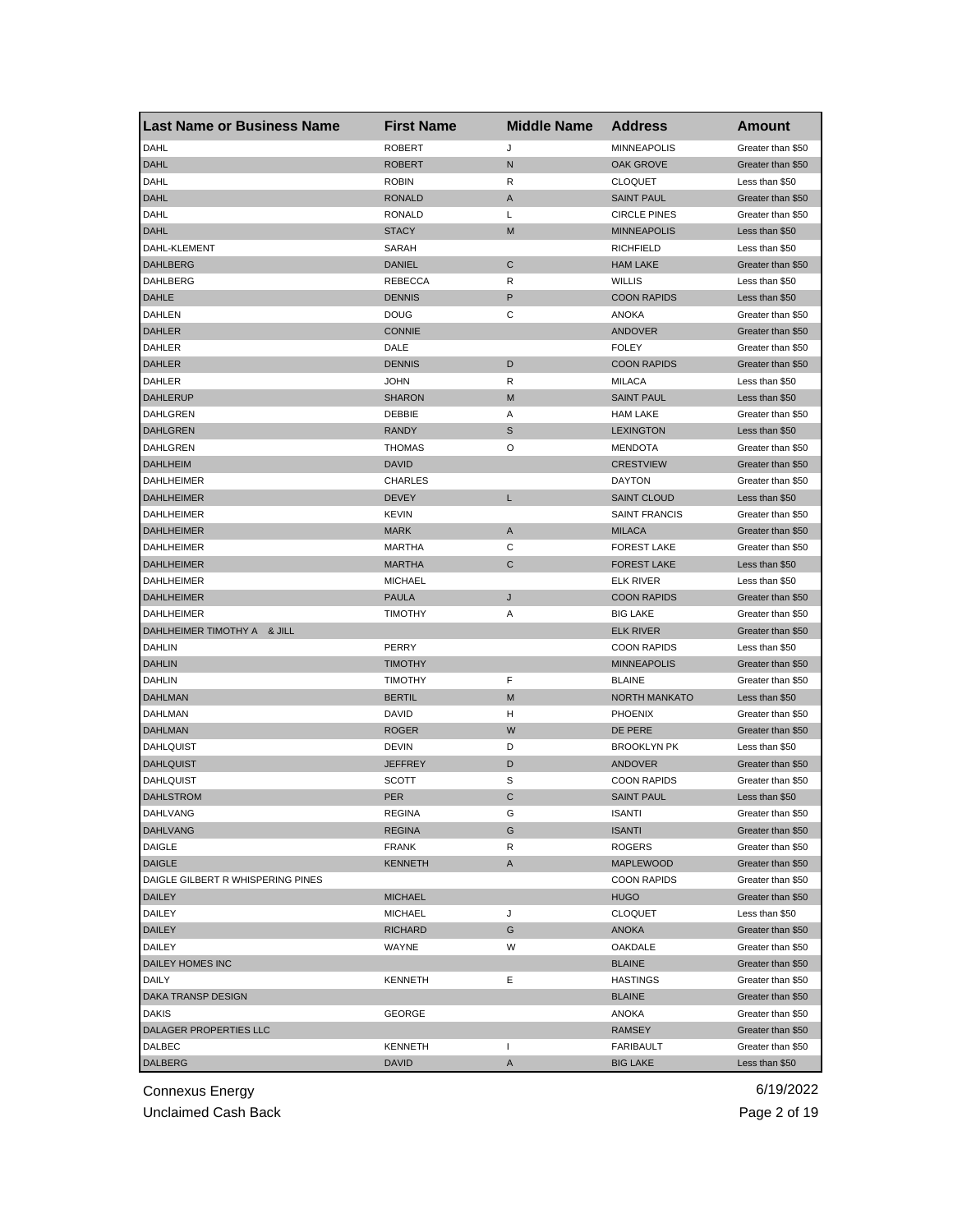| Last Name or Business Name        | <b>First Name</b> | <b>Middle Name</b> | <b>Address</b>       | Amount            |
|-----------------------------------|-------------------|--------------------|----------------------|-------------------|
| DAHL                              | <b>ROBERT</b>     | J                  | <b>MINNEAPOLIS</b>   | Greater than \$50 |
| <b>DAHL</b>                       | <b>ROBERT</b>     | N                  | OAK GROVE            | Greater than \$50 |
| DAHL                              | <b>ROBIN</b>      | R                  | <b>CLOQUET</b>       | Less than \$50    |
| <b>DAHL</b>                       | <b>RONALD</b>     | A                  | <b>SAINT PAUL</b>    | Greater than \$50 |
| DAHL                              | <b>RONALD</b>     | L                  | <b>CIRCLE PINES</b>  | Greater than \$50 |
| <b>DAHL</b>                       | <b>STACY</b>      | M                  | <b>MINNEAPOLIS</b>   | Less than \$50    |
| DAHL-KLEMENT                      | SARAH             |                    | <b>RICHFIELD</b>     | Less than \$50    |
| <b>DAHLBERG</b>                   | <b>DANIEL</b>     | C                  | <b>HAM LAKE</b>      | Greater than \$50 |
| DAHLBERG                          | REBECCA           | R                  | <b>WILLIS</b>        | Less than \$50    |
| <b>DAHLE</b>                      | <b>DENNIS</b>     | P                  | <b>COON RAPIDS</b>   | Less than \$50    |
| DAHLEN                            | <b>DOUG</b>       | С                  | ANOKA                | Greater than \$50 |
| <b>DAHLER</b>                     | <b>CONNIE</b>     |                    | <b>ANDOVER</b>       | Greater than \$50 |
| DAHLER                            | DALE              |                    | <b>FOLEY</b>         | Greater than \$50 |
| <b>DAHLER</b>                     | <b>DENNIS</b>     | D                  | <b>COON RAPIDS</b>   | Greater than \$50 |
| DAHLER                            | <b>JOHN</b>       | R                  | <b>MILACA</b>        | Less than \$50    |
| <b>DAHLERUP</b>                   | <b>SHARON</b>     | M                  | <b>SAINT PAUL</b>    | Less than \$50    |
| DAHLGREN                          | DEBBIE            | Α                  | <b>HAM LAKE</b>      | Greater than \$50 |
| <b>DAHLGREN</b>                   | <b>RANDY</b>      | S                  | <b>LEXINGTON</b>     | Less than \$50    |
| DAHLGREN                          | <b>THOMAS</b>     | O                  | <b>MENDOTA</b>       | Greater than \$50 |
| <b>DAHLHEIM</b>                   | <b>DAVID</b>      |                    | <b>CRESTVIEW</b>     | Greater than \$50 |
| <b>DAHLHEIMER</b>                 | <b>CHARLES</b>    |                    | <b>DAYTON</b>        | Greater than \$50 |
| <b>DAHLHEIMER</b>                 | <b>DEVEY</b>      | L                  | <b>SAINT CLOUD</b>   | Less than \$50    |
| DAHLHEIMER                        | <b>KEVIN</b>      |                    | <b>SAINT FRANCIS</b> | Greater than \$50 |
| <b>DAHLHEIMER</b>                 | <b>MARK</b>       | Α                  | <b>MILACA</b>        | Greater than \$50 |
| DAHLHEIMER                        | MARTHA            | С                  | <b>FOREST LAKE</b>   | Greater than \$50 |
| <b>DAHLHEIMER</b>                 | <b>MARTHA</b>     | C                  | <b>FOREST LAKE</b>   | Less than \$50    |
| DAHLHEIMER                        | <b>MICHAEL</b>    |                    | ELK RIVER            | Less than \$50    |
| <b>DAHLHEIMER</b>                 | <b>PAULA</b>      | J                  | <b>COON RAPIDS</b>   | Greater than \$50 |
| <b>DAHLHEIMER</b>                 | <b>TIMOTHY</b>    | Α                  | <b>BIG LAKE</b>      | Greater than \$50 |
| DAHLHEIMER TIMOTHY A & JILL       |                   |                    | <b>ELK RIVER</b>     | Greater than \$50 |
| <b>DAHLIN</b>                     | PERRY             |                    | <b>COON RAPIDS</b>   | Less than \$50    |
| <b>DAHLIN</b>                     | <b>TIMOTHY</b>    |                    | <b>MINNEAPOLIS</b>   | Greater than \$50 |
| DAHLIN                            | <b>TIMOTHY</b>    | F                  | <b>BLAINE</b>        | Greater than \$50 |
| <b>DAHLMAN</b>                    | <b>BERTIL</b>     | M                  | <b>NORTH MANKATO</b> | Less than \$50    |
| DAHLMAN                           | <b>DAVID</b>      | H                  | <b>PHOENIX</b>       | Greater than \$50 |
| <b>DAHLMAN</b>                    | <b>ROGER</b>      | W                  | DE PERE              | Greater than \$50 |
| <b>DAHLQUIST</b>                  | DEVIN             | D                  | <b>BROOKLYN PK</b>   | Less than \$50    |
| <b>DAHLQUIST</b>                  | <b>JEFFREY</b>    | D                  | <b>ANDOVER</b>       | Greater than \$50 |
| <b>DAHLQUIST</b>                  | <b>SCOTT</b>      | S                  | <b>COON RAPIDS</b>   | Greater than \$50 |
| <b>DAHLSTROM</b>                  | <b>PER</b>        | C                  | <b>SAINT PAUL</b>    | Less than \$50    |
| DAHLVANG                          | REGINA            | G                  | ISANTI               | Greater than \$50 |
| <b>DAHLVANG</b>                   | <b>REGINA</b>     | G                  | <b>ISANTI</b>        | Greater than \$50 |
| <b>DAIGLE</b>                     | <b>FRANK</b>      | R                  | <b>ROGERS</b>        | Greater than \$50 |
| <b>DAIGLE</b>                     | <b>KENNETH</b>    | A                  | <b>MAPLEWOOD</b>     | Greater than \$50 |
| DAIGLE GILBERT R WHISPERING PINES |                   |                    | <b>COON RAPIDS</b>   | Greater than \$50 |
| <b>DAILEY</b>                     | <b>MICHAEL</b>    |                    | <b>HUGO</b>          | Greater than \$50 |
| DAILEY                            | <b>MICHAEL</b>    | J                  | <b>CLOQUET</b>       | Less than \$50    |
| <b>DAILEY</b>                     | <b>RICHARD</b>    |                    | <b>ANOKA</b>         | Greater than \$50 |
|                                   |                   | G                  | OAKDALE              |                   |
| DAILEY                            | WAYNE             | W                  |                      | Greater than \$50 |
| DAILEY HOMES INC                  |                   |                    | <b>BLAINE</b>        | Greater than \$50 |
| DAILY                             | <b>KENNETH</b>    | Е                  | <b>HASTINGS</b>      | Greater than \$50 |
| DAKA TRANSP DESIGN                |                   |                    | <b>BLAINE</b>        | Greater than \$50 |
| <b>DAKIS</b>                      | GEORGE            |                    | ANOKA                | Greater than \$50 |
| DALAGER PROPERTIES LLC            |                   |                    | <b>RAMSEY</b>        | Greater than \$50 |
| DALBEC                            | KENNETH           | $\mathbf{I}$       | FARIBAULT            | Greater than \$50 |
| <b>DALBERG</b>                    | <b>DAVID</b>      | A                  | <b>BIG LAKE</b>      | Less than \$50    |

Unclaimed Cash Back **Page 2 of 19**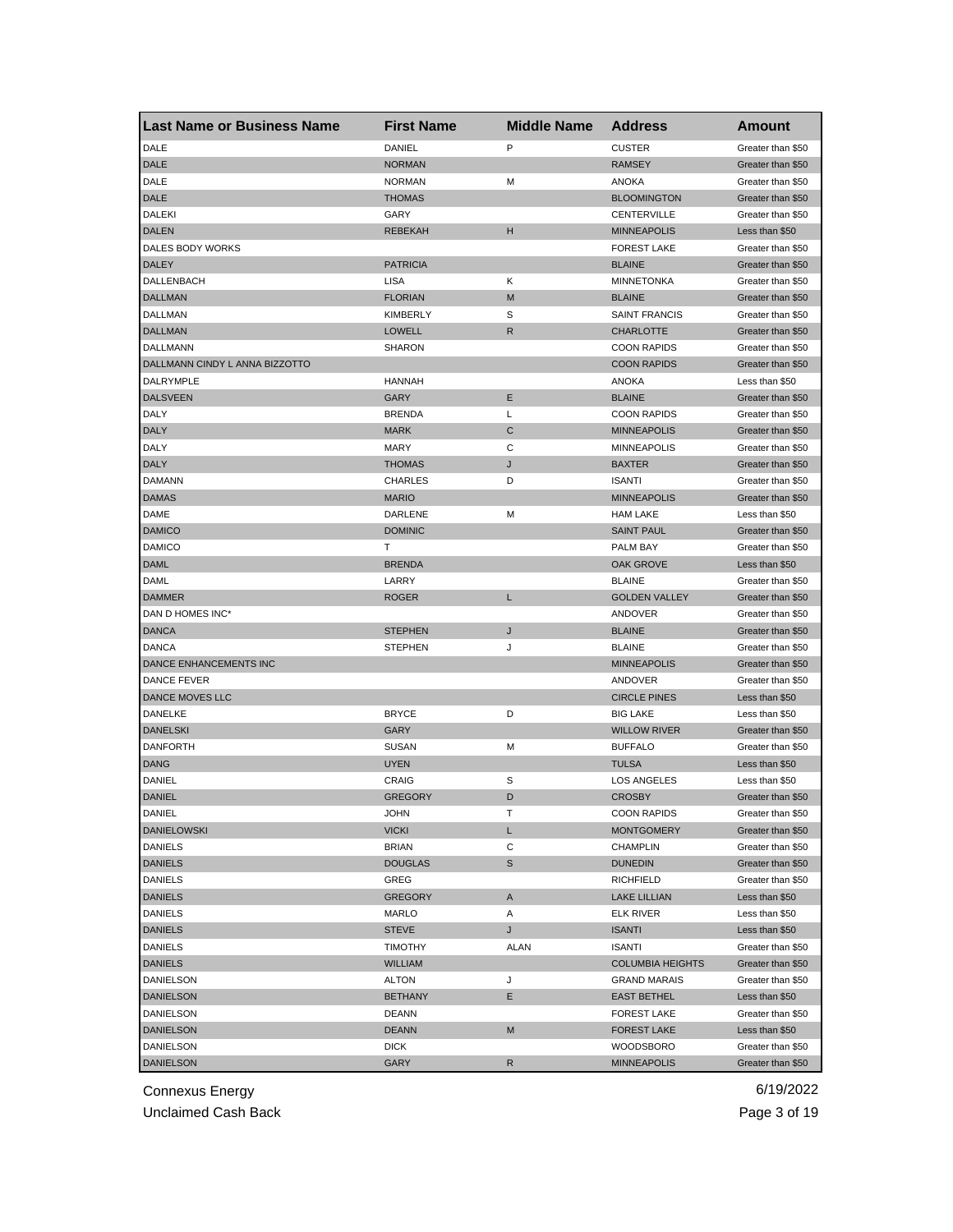| Last Name or Business Name     | <b>First Name</b> | <b>Middle Name</b> | <b>Address</b>          | <b>Amount</b>     |
|--------------------------------|-------------------|--------------------|-------------------------|-------------------|
| DALE                           | DANIEL            | P                  | <b>CUSTER</b>           | Greater than \$50 |
| <b>DALE</b>                    | <b>NORMAN</b>     |                    | <b>RAMSEY</b>           | Greater than \$50 |
| DALE                           | <b>NORMAN</b>     | М                  | <b>ANOKA</b>            | Greater than \$50 |
| <b>DALE</b>                    | <b>THOMAS</b>     |                    | <b>BLOOMINGTON</b>      | Greater than \$50 |
| <b>DALEKI</b>                  | GARY              |                    | CENTERVILLE             | Greater than \$50 |
| <b>DALEN</b>                   | <b>REBEKAH</b>    | н                  | <b>MINNEAPOLIS</b>      | Less than \$50    |
| DALES BODY WORKS               |                   |                    | <b>FOREST LAKE</b>      | Greater than \$50 |
| DALEY                          | <b>PATRICIA</b>   |                    | <b>BLAINE</b>           | Greater than \$50 |
| DALLENBACH                     | <b>LISA</b>       | κ                  | <b>MINNETONKA</b>       | Greater than \$50 |
| <b>DALLMAN</b>                 | <b>FLORIAN</b>    | M                  | <b>BLAINE</b>           | Greater than \$50 |
| DALLMAN                        | <b>KIMBERLY</b>   | S                  | <b>SAINT FRANCIS</b>    | Greater than \$50 |
| <b>DALLMAN</b>                 | <b>LOWELL</b>     | R                  | <b>CHARLOTTE</b>        | Greater than \$50 |
| DALLMANN                       | <b>SHARON</b>     |                    | <b>COON RAPIDS</b>      | Greater than \$50 |
| DALLMANN CINDY L ANNA BIZZOTTO |                   |                    | <b>COON RAPIDS</b>      | Greater than \$50 |
| DALRYMPLE                      | <b>HANNAH</b>     |                    | <b>ANOKA</b>            | Less than \$50    |
| <b>DALSVEEN</b>                | GARY              | Ε                  | <b>BLAINE</b>           | Greater than \$50 |
| DALY                           | <b>BRENDA</b>     | Г                  | <b>COON RAPIDS</b>      | Greater than \$50 |
| <b>DALY</b>                    | <b>MARK</b>       | C                  | <b>MINNEAPOLIS</b>      | Greater than \$50 |
| DALY                           | <b>MARY</b>       | С                  | <b>MINNEAPOLIS</b>      | Greater than \$50 |
| <b>DALY</b>                    | <b>THOMAS</b>     | J                  | <b>BAXTER</b>           | Greater than \$50 |
| <b>DAMANN</b>                  | <b>CHARLES</b>    | D                  | <b>ISANTI</b>           | Greater than \$50 |
| <b>DAMAS</b>                   | <b>MARIO</b>      |                    | <b>MINNEAPOLIS</b>      | Greater than \$50 |
| DAME                           | DARLENE           | М                  | <b>HAM LAKE</b>         | Less than \$50    |
| <b>DAMICO</b>                  | <b>DOMINIC</b>    |                    | <b>SAINT PAUL</b>       | Greater than \$50 |
| <b>DAMICO</b>                  | Т                 |                    | PALM BAY                | Greater than \$50 |
| <b>DAML</b>                    | <b>BRENDA</b>     |                    | <b>OAK GROVE</b>        | Less than \$50    |
| DAML                           | LARRY             |                    | <b>BLAINE</b>           | Greater than \$50 |
| <b>DAMMER</b>                  | ROGER             | L                  | <b>GOLDEN VALLEY</b>    | Greater than \$50 |
| DAN D HOMES INC*               |                   |                    | ANDOVER                 | Greater than \$50 |
| <b>DANCA</b>                   | <b>STEPHEN</b>    | J                  | <b>BLAINE</b>           | Greater than \$50 |
| <b>DANCA</b>                   | <b>STEPHEN</b>    | J                  | <b>BLAINE</b>           | Greater than \$50 |
| DANCE ENHANCEMENTS INC         |                   |                    | <b>MINNEAPOLIS</b>      | Greater than \$50 |
| DANCE FEVER                    |                   |                    | ANDOVER                 | Greater than \$50 |
| DANCE MOVES LLC                |                   |                    | <b>CIRCLE PINES</b>     | Less than \$50    |
| DANELKE                        | <b>BRYCE</b>      | D                  | <b>BIG LAKE</b>         | Less than \$50    |
| <b>DANELSKI</b>                | GARY              |                    | <b>WILLOW RIVER</b>     | Greater than \$50 |
| <b>DANFORTH</b>                | <b>SUSAN</b>      | М                  | <b>BUFFALO</b>          | Greater than \$50 |
| DANG                           | <b>UYEN</b>       |                    | <b>TULSA</b>            | Less than \$50    |
| DANIEL                         | CRAIG             | S                  | <b>LOS ANGELES</b>      | Less than \$50    |
| <b>DANIEL</b>                  | <b>GREGORY</b>    | D                  | <b>CROSBY</b>           | Greater than \$50 |
| DANIEL                         | JOHN              |                    | <b>COON RAPIDS</b>      | Greater than \$50 |
| <b>DANIELOWSKI</b>             | <b>VICKI</b>      | L                  | <b>MONTGOMERY</b>       | Greater than \$50 |
| <b>DANIELS</b>                 | <b>BRIAN</b>      | С                  | CHAMPLIN                | Greater than \$50 |
| DANIELS                        | <b>DOUGLAS</b>    | S                  | <b>DUNEDIN</b>          | Greater than \$50 |
| DANIELS                        | GREG              |                    | <b>RICHFIELD</b>        | Greater than \$50 |
| <b>DANIELS</b>                 | <b>GREGORY</b>    | Α                  | <b>LAKE LILLIAN</b>     | Less than \$50    |
| <b>DANIELS</b>                 | MARLO             | Α                  | <b>ELK RIVER</b>        | Less than \$50    |
| <b>DANIELS</b>                 | <b>STEVE</b>      | J                  | <b>ISANTI</b>           | Less than \$50    |
| <b>DANIELS</b>                 | <b>TIMOTHY</b>    | <b>ALAN</b>        | <b>ISANTI</b>           | Greater than \$50 |
|                                |                   |                    | <b>COLUMBIA HEIGHTS</b> | Greater than \$50 |
| <b>DANIELS</b>                 | WILLIAM           |                    |                         |                   |
| DANIELSON                      | ALTON             | J                  | <b>GRAND MARAIS</b>     | Greater than \$50 |
| <b>DANIELSON</b>               | <b>BETHANY</b>    | Е                  | <b>EAST BETHEL</b>      | Less than \$50    |
| DANIELSON                      | DEANN             |                    | <b>FOREST LAKE</b>      | Greater than \$50 |
| DANIELSON                      | <b>DEANN</b>      | M                  | <b>FOREST LAKE</b>      | Less than \$50    |
| DANIELSON                      | <b>DICK</b>       |                    | WOODSBORO               | Greater than \$50 |
| <b>DANIELSON</b>               | <b>GARY</b>       | R                  | <b>MINNEAPOLIS</b>      | Greater than \$50 |

Unclaimed Cash Back **Page 3 of 19**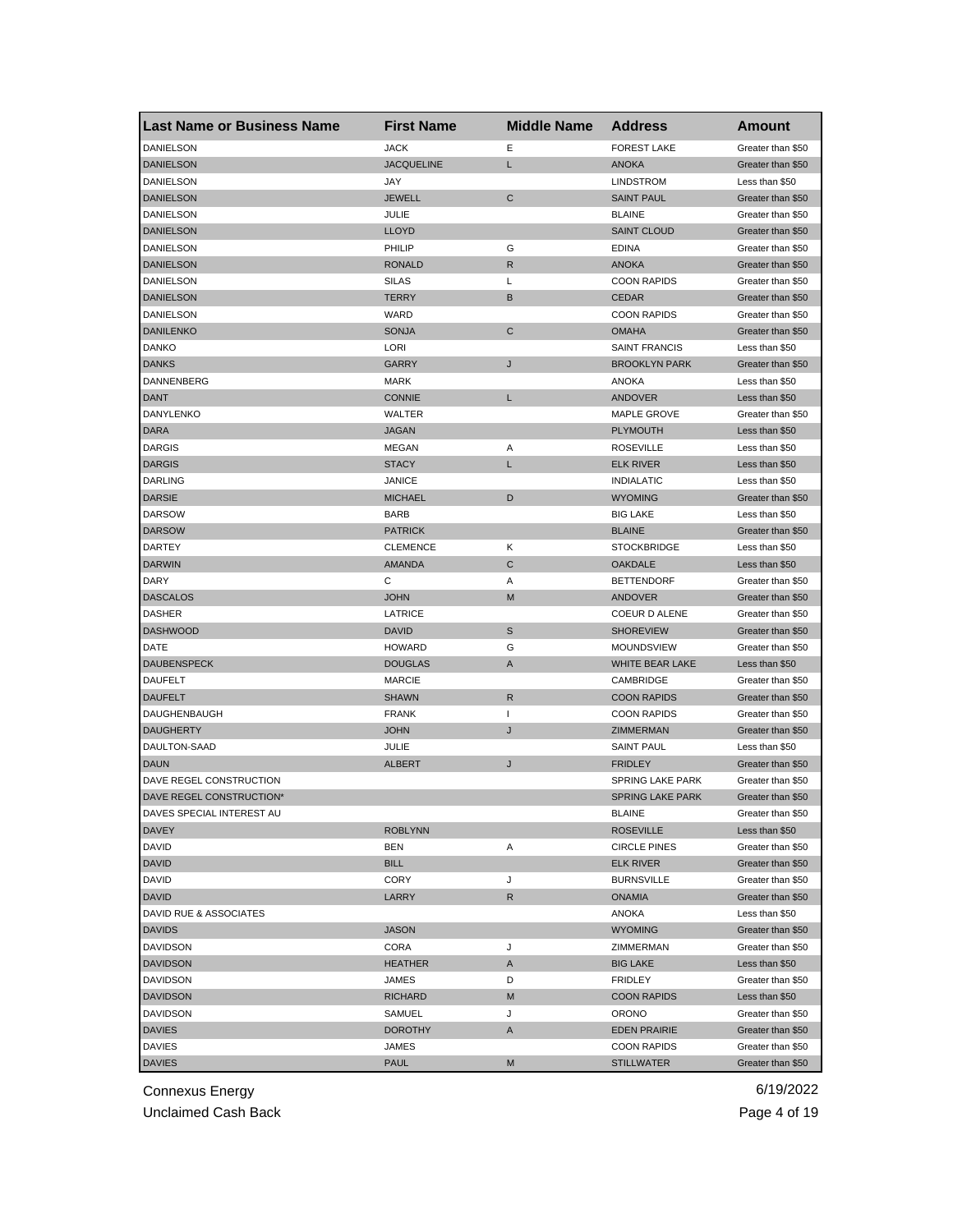| <b>Last Name or Business Name</b> | <b>First Name</b> | <b>Middle Name</b> | <b>Address</b>          | <b>Amount</b>     |
|-----------------------------------|-------------------|--------------------|-------------------------|-------------------|
| DANIELSON                         | <b>JACK</b>       | Е                  | <b>FOREST LAKE</b>      | Greater than \$50 |
| <b>DANIELSON</b>                  | <b>JACQUELINE</b> | L                  | <b>ANOKA</b>            | Greater than \$50 |
| DANIELSON                         | JAY               |                    | <b>LINDSTROM</b>        | Less than \$50    |
| <b>DANIELSON</b>                  | <b>JEWELL</b>     | $\mathsf{C}$       | <b>SAINT PAUL</b>       | Greater than \$50 |
| DANIELSON                         | JULIE             |                    | <b>BLAINE</b>           | Greater than \$50 |
| <b>DANIELSON</b>                  | <b>LLOYD</b>      |                    | <b>SAINT CLOUD</b>      | Greater than \$50 |
| DANIELSON                         | PHILIP            | G                  | <b>EDINA</b>            | Greater than \$50 |
| <b>DANIELSON</b>                  | <b>RONALD</b>     | R                  | <b>ANOKA</b>            | Greater than \$50 |
| DANIELSON                         | <b>SILAS</b>      | Г                  | <b>COON RAPIDS</b>      | Greater than \$50 |
| <b>DANIELSON</b>                  | <b>TERRY</b>      | В                  | <b>CEDAR</b>            | Greater than \$50 |
| DANIELSON                         | WARD              |                    | <b>COON RAPIDS</b>      | Greater than \$50 |
| <b>DANILENKO</b>                  | <b>SONJA</b>      | C                  | <b>OMAHA</b>            | Greater than \$50 |
| DANKO                             | LORI              |                    | <b>SAINT FRANCIS</b>    | Less than \$50    |
| <b>DANKS</b>                      | GARRY             | J                  | <b>BROOKLYN PARK</b>    | Greater than \$50 |
| DANNENBERG                        | <b>MARK</b>       |                    | ANOKA                   | Less than \$50    |
| <b>DANT</b>                       | <b>CONNIE</b>     | L                  | ANDOVER                 | Less than \$50    |
| DANYLENKO                         | WALTER            |                    | MAPLE GROVE             | Greater than \$50 |
| <b>DARA</b>                       | <b>JAGAN</b>      |                    | <b>PLYMOUTH</b>         | Less than \$50    |
| <b>DARGIS</b>                     | MEGAN             | Α                  | <b>ROSEVILLE</b>        | Less than \$50    |
| <b>DARGIS</b>                     | <b>STACY</b>      | L                  | <b>ELK RIVER</b>        | Less than \$50    |
| <b>DARLING</b>                    | JANICE            |                    | <b>INDIALATIC</b>       | Less than \$50    |
| <b>DARSIE</b>                     | <b>MICHAEL</b>    | D                  | <b>WYOMING</b>          | Greater than \$50 |
| <b>DARSOW</b>                     | <b>BARB</b>       |                    | <b>BIG LAKE</b>         | Less than \$50    |
| <b>DARSOW</b>                     | <b>PATRICK</b>    |                    | <b>BLAINE</b>           | Greater than \$50 |
| DARTEY                            | <b>CLEMENCE</b>   | Κ                  | <b>STOCKBRIDGE</b>      | Less than \$50    |
| <b>DARWIN</b>                     | <b>AMANDA</b>     | C                  | <b>OAKDALE</b>          | Less than \$50    |
| DARY                              | С                 | Α                  | <b>BETTENDORF</b>       | Greater than \$50 |
| <b>DASCALOS</b>                   | <b>JOHN</b>       | M                  | ANDOVER                 | Greater than \$50 |
| <b>DASHER</b>                     | LATRICE           |                    | COEUR D ALENE           | Greater than \$50 |
| <b>DASHWOOD</b>                   | <b>DAVID</b>      | S                  | <b>SHOREVIEW</b>        | Greater than \$50 |
| DATE                              | <b>HOWARD</b>     | G                  | MOUNDSVIEW              | Greater than \$50 |
| <b>DAUBENSPECK</b>                | <b>DOUGLAS</b>    | A                  | WHITE BEAR LAKE         | Less than \$50    |
| <b>DAUFELT</b>                    | <b>MARCIE</b>     |                    | CAMBRIDGE               | Greater than \$50 |
| <b>DAUFELT</b>                    | <b>SHAWN</b>      | $\mathsf{R}$       | <b>COON RAPIDS</b>      | Greater than \$50 |
| DAUGHENBAUGH                      | <b>FRANK</b>      | $\mathbf{I}$       | <b>COON RAPIDS</b>      | Greater than \$50 |
| <b>DAUGHERTY</b>                  | JOHN              | J                  | ZIMMERMAN               | Greater than \$50 |
| DAULTON-SAAD                      | JULIE             |                    | <b>SAINT PAUL</b>       | Less than \$50    |
| <b>DAUN</b>                       | <b>ALBERT</b>     | J                  | <b>FRIDLEY</b>          | Greater than \$50 |
| DAVE REGEL CONSTRUCTION           |                   |                    | SPRING LAKE PARK        | Greater than \$50 |
| DAVE REGEL CONSTRUCTION*          |                   |                    | <b>SPRING LAKE PARK</b> | Greater than \$50 |
| DAVES SPECIAL INTEREST AU         |                   |                    | BLAINE                  | Greater than \$50 |
| <b>DAVEY</b>                      | <b>ROBLYNN</b>    |                    | <b>ROSEVILLE</b>        | Less than \$50    |
| DAVID                             | BEN               | Α                  | <b>CIRCLE PINES</b>     | Greater than \$50 |
| <b>DAVID</b>                      | <b>BILL</b>       |                    | ELK RIVER               | Greater than \$50 |
| <b>DAVID</b>                      | CORY              | J                  | <b>BURNSVILLE</b>       | Greater than \$50 |
| <b>DAVID</b>                      | LARRY             | $\mathsf{R}$       | <b>ONAMIA</b>           | Greater than \$50 |
| DAVID RUE & ASSOCIATES            |                   |                    | <b>ANOKA</b>            | Less than \$50    |
| <b>DAVIDS</b>                     | <b>JASON</b>      |                    | <b>WYOMING</b>          | Greater than \$50 |
| <b>DAVIDSON</b>                   | CORA              | J                  | ZIMMERMAN               | Greater than \$50 |
| <b>DAVIDSON</b>                   | HEATHER           | A                  | <b>BIG LAKE</b>         | Less than \$50    |
| <b>DAVIDSON</b>                   | JAMES             | D                  | <b>FRIDLEY</b>          | Greater than \$50 |
| <b>DAVIDSON</b>                   | RICHARD           | M                  | <b>COON RAPIDS</b>      | Less than \$50    |
| <b>DAVIDSON</b>                   | SAMUEL            | J                  | ORONO                   | Greater than \$50 |
| <b>DAVIES</b>                     | DOROTHY           | Α                  | <b>EDEN PRAIRIE</b>     | Greater than \$50 |
| <b>DAVIES</b>                     | JAMES             |                    | <b>COON RAPIDS</b>      | Greater than \$50 |
| <b>DAVIES</b>                     | <b>PAUL</b>       | M                  | <b>STILLWATER</b>       | Greater than \$50 |
|                                   |                   |                    |                         |                   |

Unclaimed Cash Back **Page 4 of 19**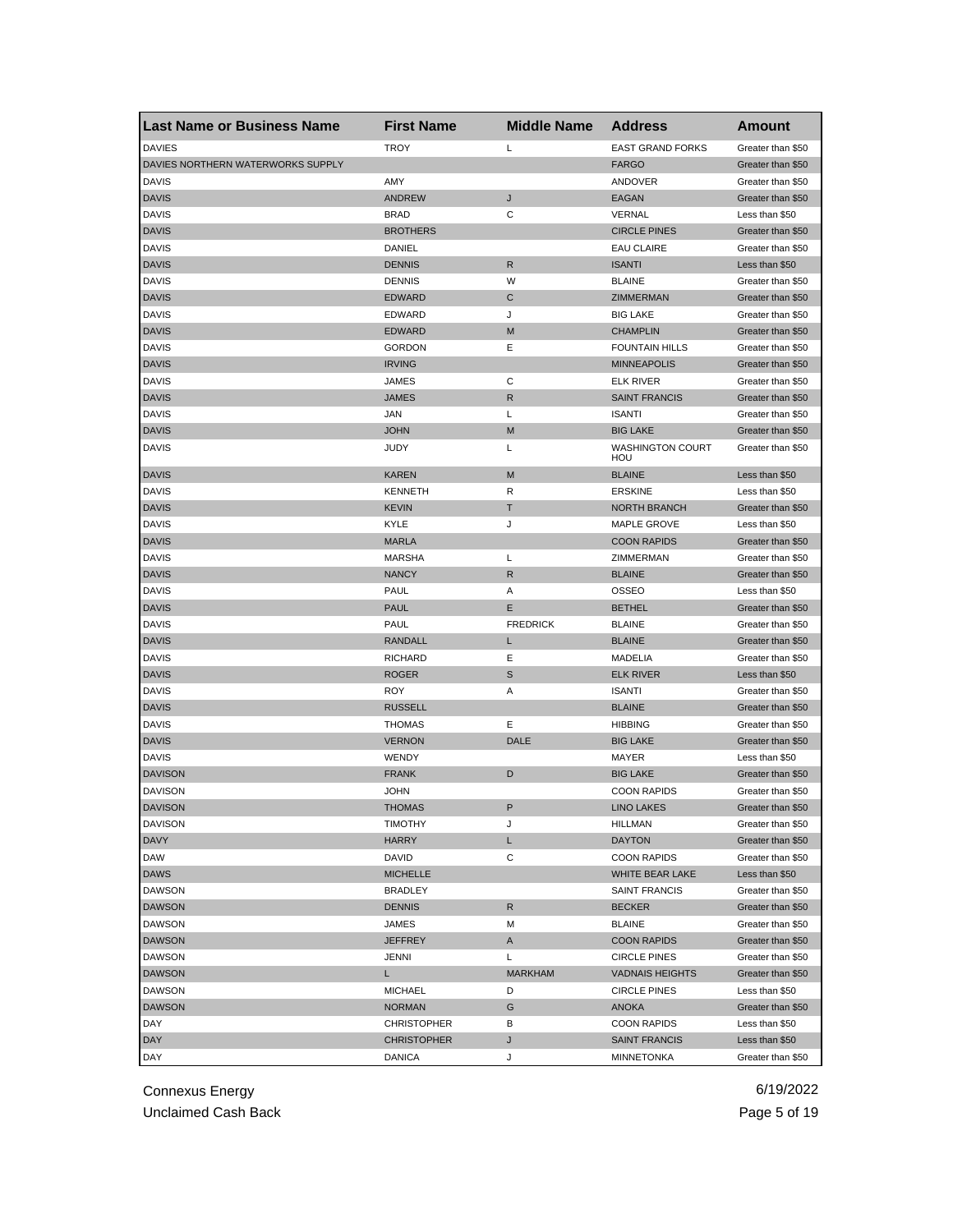| <b>Last Name or Business Name</b> | <b>First Name</b>  | <b>Middle Name</b> | <b>Address</b>                 | Amount            |
|-----------------------------------|--------------------|--------------------|--------------------------------|-------------------|
| <b>DAVIES</b>                     | <b>TROY</b>        | Г                  | <b>EAST GRAND FORKS</b>        | Greater than \$50 |
| DAVIES NORTHERN WATERWORKS SUPPLY |                    |                    | <b>FARGO</b>                   | Greater than \$50 |
| <b>DAVIS</b>                      | AMY                |                    | ANDOVER                        | Greater than \$50 |
| <b>DAVIS</b>                      | <b>ANDREW</b>      | J                  | <b>EAGAN</b>                   | Greater than \$50 |
| <b>DAVIS</b>                      | <b>BRAD</b>        | C                  | VERNAL                         | Less than \$50    |
| <b>DAVIS</b>                      | <b>BROTHERS</b>    |                    | <b>CIRCLE PINES</b>            | Greater than \$50 |
| <b>DAVIS</b>                      | DANIEL             |                    | EAU CLAIRE                     | Greater than \$50 |
| <b>DAVIS</b>                      | <b>DENNIS</b>      | R                  | <b>ISANTI</b>                  | Less than \$50    |
| <b>DAVIS</b>                      | <b>DENNIS</b>      | W                  | <b>BLAINE</b>                  | Greater than \$50 |
| <b>DAVIS</b>                      | <b>EDWARD</b>      | C                  | ZIMMERMAN                      | Greater than \$50 |
| <b>DAVIS</b>                      | <b>EDWARD</b>      | J                  | <b>BIG LAKE</b>                | Greater than \$50 |
| <b>DAVIS</b>                      | <b>EDWARD</b>      | M                  | <b>CHAMPLIN</b>                | Greater than \$50 |
| <b>DAVIS</b>                      | <b>GORDON</b>      | Ε                  | <b>FOUNTAIN HILLS</b>          | Greater than \$50 |
| <b>DAVIS</b>                      | <b>IRVING</b>      |                    | <b>MINNEAPOLIS</b>             | Greater than \$50 |
| <b>DAVIS</b>                      | JAMES              | С                  | <b>ELK RIVER</b>               | Greater than \$50 |
| <b>DAVIS</b>                      | <b>JAMES</b>       | R                  | <b>SAINT FRANCIS</b>           | Greater than \$50 |
| <b>DAVIS</b>                      | <b>JAN</b>         | L                  | <b>ISANTI</b>                  | Greater than \$50 |
| <b>DAVIS</b>                      | <b>JOHN</b>        | M                  | <b>BIG LAKE</b>                | Greater than \$50 |
| <b>DAVIS</b>                      | JUDY               | L                  | <b>WASHINGTON COURT</b><br>HOU | Greater than \$50 |
| <b>DAVIS</b>                      | <b>KAREN</b>       | M                  | <b>BLAINE</b>                  | Less than \$50    |
| <b>DAVIS</b>                      | <b>KENNETH</b>     | R                  | <b>ERSKINE</b>                 | Less than \$50    |
| <b>DAVIS</b>                      | <b>KEVIN</b>       | Т                  | <b>NORTH BRANCH</b>            | Greater than \$50 |
| <b>DAVIS</b>                      | <b>KYLE</b>        | J                  | MAPLE GROVE                    | Less than \$50    |
| <b>DAVIS</b>                      | <b>MARLA</b>       |                    | <b>COON RAPIDS</b>             | Greater than \$50 |
| <b>DAVIS</b>                      | <b>MARSHA</b>      | L                  | ZIMMERMAN                      | Greater than \$50 |
| <b>DAVIS</b>                      | <b>NANCY</b>       | R                  | <b>BLAINE</b>                  | Greater than \$50 |
| <b>DAVIS</b>                      | PAUL               | Α                  | <b>OSSEO</b>                   | Less than \$50    |
| <b>DAVIS</b>                      | <b>PAUL</b>        | Ε                  | <b>BETHEL</b>                  | Greater than \$50 |
| <b>DAVIS</b>                      | PAUL               | <b>FREDRICK</b>    | <b>BLAINE</b>                  | Greater than \$50 |
| <b>DAVIS</b>                      | <b>RANDALL</b>     | L                  | <b>BLAINE</b>                  | Greater than \$50 |
| <b>DAVIS</b>                      | <b>RICHARD</b>     | Ε                  | MADELIA                        | Greater than \$50 |
| <b>DAVIS</b>                      | <b>ROGER</b>       | S                  | <b>ELK RIVER</b>               | Less than \$50    |
|                                   |                    |                    |                                |                   |
| <b>DAVIS</b>                      | ROY                | Α                  | <b>ISANTI</b>                  | Greater than \$50 |
| <b>DAVIS</b>                      | <b>RUSSELL</b>     |                    | <b>BLAINE</b>                  | Greater than \$50 |
| <b>DAVIS</b>                      | <b>THOMAS</b>      | Ε                  | <b>HIBBING</b>                 | Greater than \$50 |
| <b>DAVIS</b>                      | <b>VERNON</b>      | <b>DALE</b>        | <b>BIG LAKE</b>                | Greater than \$50 |
| <b>DAVIS</b>                      | WENDY              |                    | MAYER                          | Less than \$50    |
| <b>DAVISON</b>                    | <b>FRANK</b>       | D                  | <b>BIG LAKE</b>                | Greater than \$50 |
| <b>DAVISON</b>                    | <b>JOHN</b>        |                    | <b>COON RAPIDS</b>             | Greater than \$50 |
| <b>DAVISON</b>                    | <b>THOMAS</b>      | P                  | <b>LINO LAKES</b>              | Greater than \$50 |
| <b>DAVISON</b>                    | <b>TIMOTHY</b>     | J                  | <b>HILLMAN</b>                 | Greater than \$50 |
| <b>DAVY</b>                       | HARRY              | L                  | <b>DAYTON</b>                  | Greater than \$50 |
| <b>DAW</b>                        | DAVID              | С                  | <b>COON RAPIDS</b>             | Greater than \$50 |
| <b>DAWS</b>                       | <b>MICHELLE</b>    |                    | WHITE BEAR LAKE                | Less than \$50    |
| DAWSON                            | <b>BRADLEY</b>     |                    | <b>SAINT FRANCIS</b>           | Greater than \$50 |
| <b>DAWSON</b>                     | <b>DENNIS</b>      | R                  | <b>BECKER</b>                  | Greater than \$50 |
| DAWSON                            | JAMES              | M                  | <b>BLAINE</b>                  | Greater than \$50 |
| <b>DAWSON</b>                     | <b>JEFFREY</b>     | A                  | <b>COON RAPIDS</b>             | Greater than \$50 |
| DAWSON                            | JENNI              | L                  | <b>CIRCLE PINES</b>            | Greater than \$50 |
| <b>DAWSON</b>                     | L                  | <b>MARKHAM</b>     | <b>VADNAIS HEIGHTS</b>         | Greater than \$50 |
| <b>DAWSON</b>                     | <b>MICHAEL</b>     | D                  | <b>CIRCLE PINES</b>            | Less than \$50    |
| <b>DAWSON</b>                     | <b>NORMAN</b>      | G                  | ANOKA                          | Greater than \$50 |
| DAY                               | <b>CHRISTOPHER</b> | в                  | <b>COON RAPIDS</b>             | Less than \$50    |
| <b>DAY</b>                        | <b>CHRISTOPHER</b> | J                  | <b>SAINT FRANCIS</b>           | Less than \$50    |
| DAY                               | <b>DANICA</b>      | J                  | <b>MINNETONKA</b>              | Greater than \$50 |

Connexus Energy 6/19/2022 Unclaimed Cash Back **Page 5 of 19**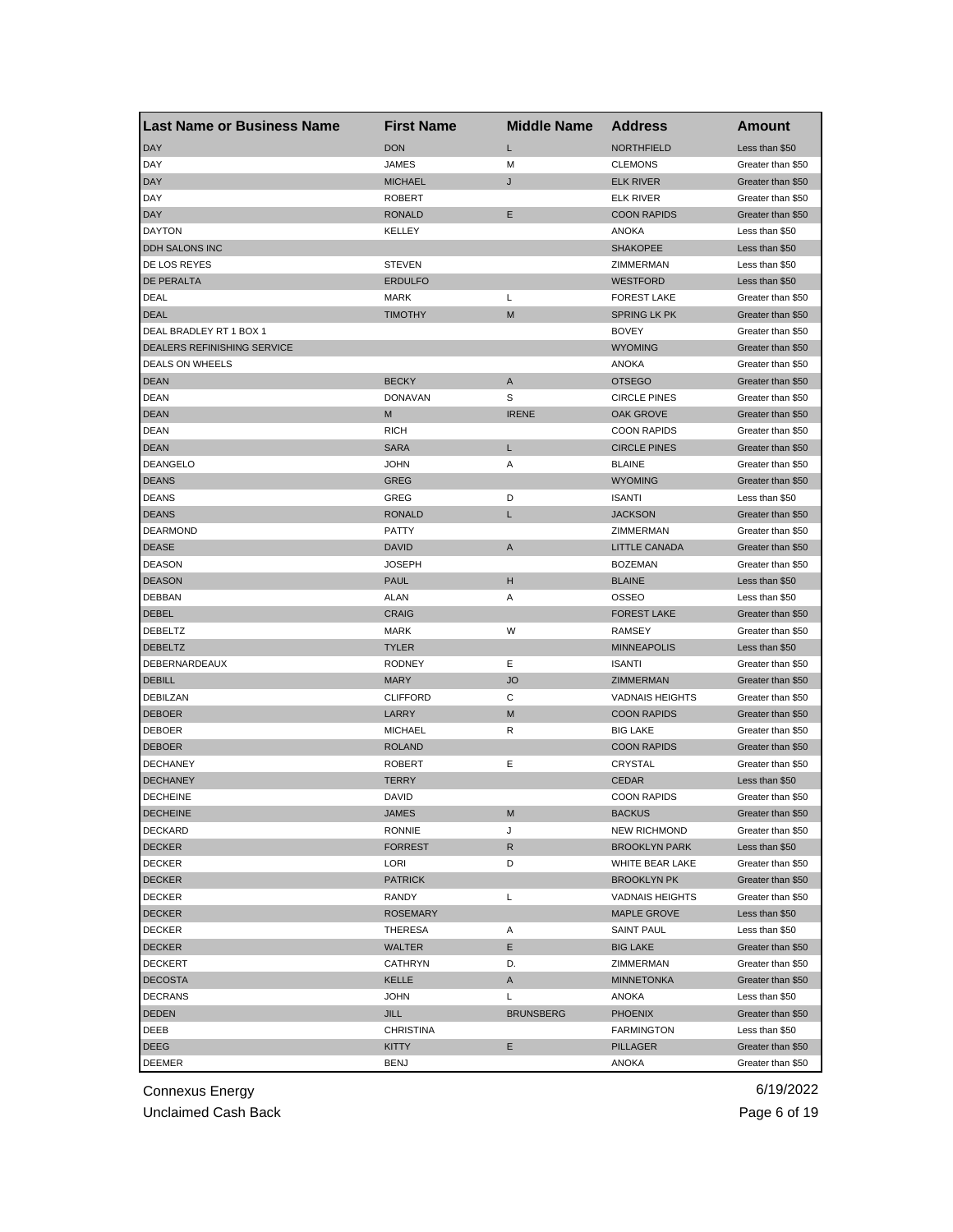| Last Name or Business Name         | <b>First Name</b> | <b>Middle Name</b> | <b>Address</b>                        | Amount            |
|------------------------------------|-------------------|--------------------|---------------------------------------|-------------------|
| <b>DAY</b>                         | <b>DON</b>        | Г                  | <b>NORTHFIELD</b>                     | Less than \$50    |
| DAY                                | JAMES             | М                  | <b>CLEMONS</b>                        | Greater than \$50 |
| <b>DAY</b>                         | <b>MICHAEL</b>    | J                  | <b>ELK RIVER</b>                      | Greater than \$50 |
| DAY                                | <b>ROBERT</b>     |                    | <b>ELK RIVER</b>                      | Greater than \$50 |
| <b>DAY</b>                         | <b>RONALD</b>     | Ε                  | <b>COON RAPIDS</b>                    | Greater than \$50 |
| <b>DAYTON</b>                      | KELLEY            |                    | <b>ANOKA</b>                          | Less than \$50    |
| DDH SALONS INC                     |                   |                    | <b>SHAKOPEE</b>                       | Less than \$50    |
| DE LOS REYES                       | <b>STEVEN</b>     |                    | ZIMMERMAN                             | Less than \$50    |
| DE PERALTA                         | <b>ERDULFO</b>    |                    | <b>WESTFORD</b>                       | Less than \$50    |
| DEAL                               | MARK              | Г                  | <b>FOREST LAKE</b>                    | Greater than \$50 |
| <b>DEAL</b>                        | <b>TIMOTHY</b>    | M                  | <b>SPRING LK PK</b>                   | Greater than \$50 |
| DEAL BRADLEY RT 1 BOX 1            |                   |                    | <b>BOVEY</b>                          | Greater than \$50 |
| <b>DEALERS REFINISHING SERVICE</b> |                   |                    | <b>WYOMING</b>                        | Greater than \$50 |
| DEALS ON WHEELS                    |                   |                    | <b>ANOKA</b>                          | Greater than \$50 |
| <b>DEAN</b>                        | <b>BECKY</b>      | Α                  | <b>OTSEGO</b>                         | Greater than \$50 |
| <b>DEAN</b>                        | <b>DONAVAN</b>    | S                  | <b>CIRCLE PINES</b>                   | Greater than \$50 |
| <b>DEAN</b>                        | M                 | <b>IRENE</b>       | OAK GROVE                             | Greater than \$50 |
| <b>DEAN</b>                        | <b>RICH</b>       |                    | <b>COON RAPIDS</b>                    | Greater than \$50 |
| <b>DEAN</b>                        | <b>SARA</b>       | L                  | <b>CIRCLE PINES</b>                   | Greater than \$50 |
| <b>DEANGELO</b>                    | <b>JOHN</b>       | Α                  | <b>BLAINE</b>                         | Greater than \$50 |
| <b>DEANS</b>                       | <b>GREG</b>       |                    | <b>WYOMING</b>                        | Greater than \$50 |
| <b>DEANS</b>                       | GREG              | D                  | <b>ISANTI</b>                         | Less than \$50    |
| <b>DEANS</b>                       | <b>RONALD</b>     | L                  | <b>JACKSON</b>                        | Greater than \$50 |
| <b>DEARMOND</b>                    | <b>PATTY</b>      |                    | ZIMMERMAN                             | Greater than \$50 |
| <b>DEASE</b>                       | <b>DAVID</b>      | Α                  | <b>LITTLE CANADA</b>                  | Greater than \$50 |
| <b>DEASON</b>                      | <b>JOSEPH</b>     |                    | <b>BOZEMAN</b>                        | Greater than \$50 |
| <b>DEASON</b>                      | <b>PAUL</b>       | н                  | <b>BLAINE</b>                         | Less than \$50    |
| DEBBAN                             | ALAN              | Α                  | OSSEO                                 | Less than \$50    |
| <b>DEBEL</b>                       | <b>CRAIG</b>      |                    | <b>FOREST LAKE</b>                    | Greater than \$50 |
| DEBELTZ                            | MARK              | W                  | <b>RAMSEY</b>                         | Greater than \$50 |
| <b>DEBELTZ</b>                     | <b>TYLER</b>      |                    | <b>MINNEAPOLIS</b>                    | Less than \$50    |
| DEBERNARDEAUX                      | <b>RODNEY</b>     | Ε                  | <b>ISANTI</b>                         | Greater than \$50 |
| <b>DEBILL</b>                      | <b>MARY</b>       | <b>JO</b>          | ZIMMERMAN                             | Greater than \$50 |
| DEBILZAN                           | <b>CLIFFORD</b>   | С                  | <b>VADNAIS HEIGHTS</b>                | Greater than \$50 |
|                                    |                   | M                  |                                       |                   |
| <b>DEBOER</b><br><b>DEBOER</b>     | LARRY             | R                  | <b>COON RAPIDS</b><br><b>BIG LAKE</b> | Greater than \$50 |
|                                    | <b>MICHAEL</b>    |                    |                                       | Greater than \$50 |
| <b>DEBOER</b>                      | <b>ROLAND</b>     | Ε                  | <b>COON RAPIDS</b><br><b>CRYSTAL</b>  | Greater than \$50 |
| <b>DECHANEY</b>                    | <b>ROBERT</b>     |                    |                                       | Greater than \$50 |
| <b>DECHANEY</b>                    | <b>TERRY</b>      |                    | <b>CEDAR</b>                          | Less than \$50    |
| <b>DECHEINE</b>                    | <b>DAVID</b>      |                    | <b>COON RAPIDS</b>                    | Greater than \$50 |
| <b>DECHEINE</b>                    | JAMES             | M                  | <b>BACKUS</b>                         | Greater than \$50 |
| DECKARD                            | <b>RONNIE</b>     | J                  | <b>NEW RICHMOND</b>                   | Greater than \$50 |
| <b>DECKER</b>                      | <b>FORREST</b>    | R                  | <b>BROOKLYN PARK</b>                  | Less than \$50    |
| <b>DECKER</b>                      | LORI              | D                  | WHITE BEAR LAKE                       | Greater than \$50 |
| <b>DECKER</b>                      | <b>PATRICK</b>    |                    | <b>BROOKLYN PK</b>                    | Greater than \$50 |
| <b>DECKER</b>                      | RANDY             | L                  | <b>VADNAIS HEIGHTS</b>                | Greater than \$50 |
| <b>DECKER</b>                      | <b>ROSEMARY</b>   |                    | <b>MAPLE GROVE</b>                    | Less than \$50    |
| <b>DECKER</b>                      | THERESA           | Α                  | <b>SAINT PAUL</b>                     | Less than \$50    |
| <b>DECKER</b>                      | WALTER            | Е                  | <b>BIG LAKE</b>                       | Greater than \$50 |
| <b>DECKERT</b>                     | <b>CATHRYN</b>    | D.                 | ZIMMERMAN                             | Greater than \$50 |
| <b>DECOSTA</b>                     | KELLE             | Α                  | <b>MINNETONKA</b>                     | Greater than \$50 |
| <b>DECRANS</b>                     | <b>JOHN</b>       | L                  | ANOKA                                 | Less than \$50    |
| DEDEN                              | <b>JILL</b>       | <b>BRUNSBERG</b>   | <b>PHOENIX</b>                        | Greater than \$50 |
| DEEB                               | <b>CHRISTINA</b>  |                    | <b>FARMINGTON</b>                     | Less than \$50    |
| DEEG                               | KITTY             | Е                  | PILLAGER                              | Greater than \$50 |
| <b>DEEMER</b>                      | BENJ              |                    | ANOKA                                 | Greater than \$50 |

Unclaimed Cash Back **Page 6 of 19**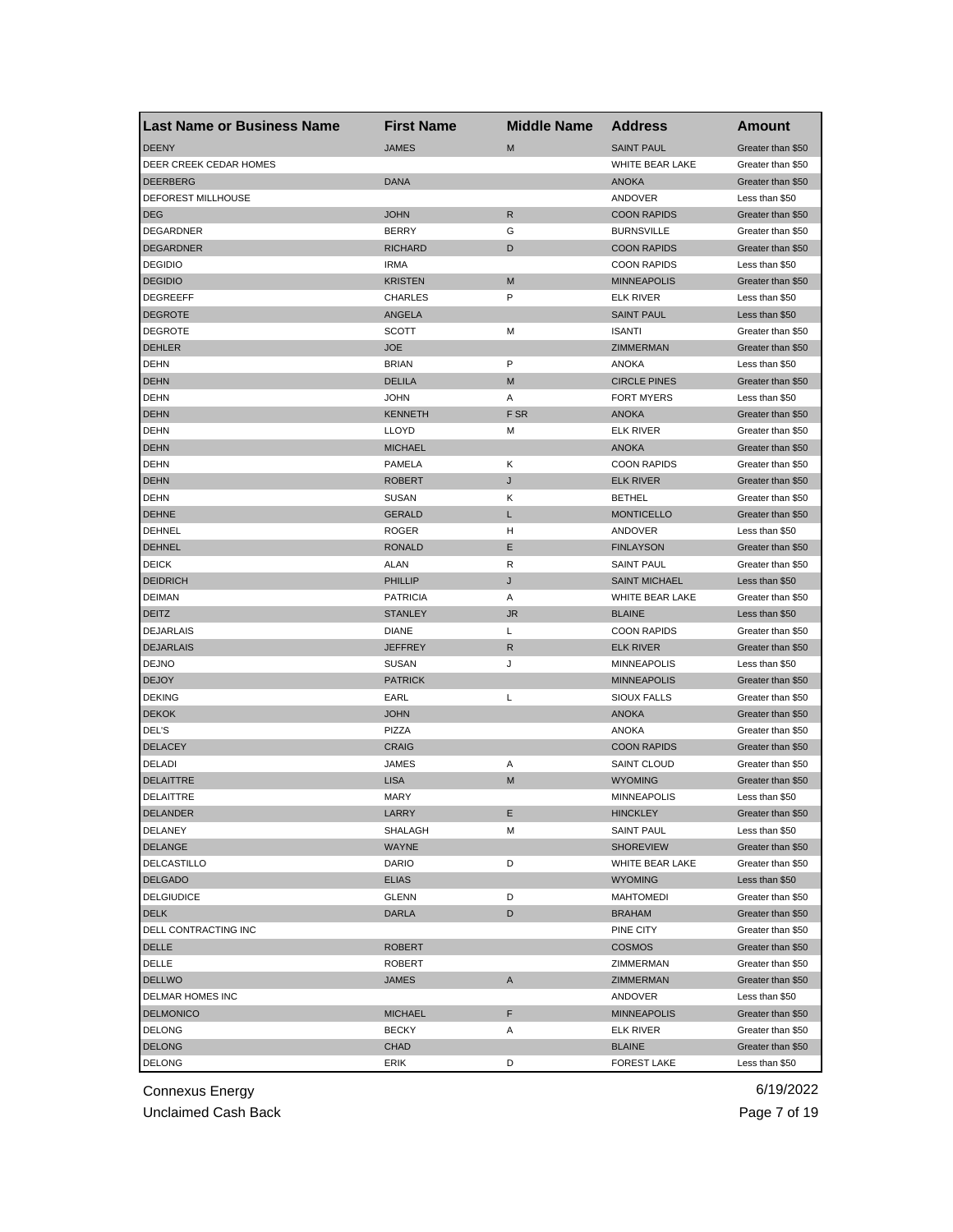| <b>Last Name or Business Name</b> | <b>First Name</b> | <b>Middle Name</b> | <b>Address</b>       | Amount                              |
|-----------------------------------|-------------------|--------------------|----------------------|-------------------------------------|
| <b>DEENY</b>                      | <b>JAMES</b>      | M                  | <b>SAINT PAUL</b>    | Greater than \$50                   |
| DEER CREEK CEDAR HOMES            |                   |                    | WHITE BEAR LAKE      | Greater than \$50                   |
| <b>DEERBERG</b>                   | <b>DANA</b>       |                    | <b>ANOKA</b>         | Greater than \$50                   |
| DEFOREST MILLHOUSE                |                   |                    | ANDOVER              | Less than \$50                      |
| <b>DEG</b>                        | <b>JOHN</b>       | R                  | <b>COON RAPIDS</b>   | Greater than \$50                   |
| DEGARDNER                         | <b>BERRY</b>      | G                  | <b>BURNSVILLE</b>    | Greater than \$50                   |
| <b>DEGARDNER</b>                  | <b>RICHARD</b>    | D                  | <b>COON RAPIDS</b>   | Greater than \$50                   |
| <b>DEGIDIO</b>                    | <b>IRMA</b>       |                    | <b>COON RAPIDS</b>   | Less than \$50                      |
| <b>DEGIDIO</b>                    | <b>KRISTEN</b>    | M                  | <b>MINNEAPOLIS</b>   | Greater than \$50                   |
| <b>DEGREEFF</b>                   | <b>CHARLES</b>    | P                  | <b>ELK RIVER</b>     | Less than \$50                      |
| <b>DEGROTE</b>                    | <b>ANGELA</b>     |                    | <b>SAINT PAUL</b>    | Less than \$50                      |
| <b>DEGROTE</b>                    | SCOTT             | M                  | <b>ISANTI</b>        | Greater than \$50                   |
| <b>DEHLER</b>                     | <b>JOE</b>        |                    | ZIMMERMAN            | Greater than \$50                   |
| <b>DEHN</b>                       | <b>BRIAN</b>      | P                  | <b>ANOKA</b>         | Less than \$50                      |
| <b>DEHN</b>                       | <b>DELILA</b>     | M                  | <b>CIRCLE PINES</b>  | Greater than \$50                   |
| <b>DEHN</b>                       | <b>JOHN</b>       | Α                  | <b>FORT MYERS</b>    | Less than \$50                      |
| <b>DEHN</b>                       | <b>KENNETH</b>    | F SR               | <b>ANOKA</b>         | Greater than \$50                   |
| <b>DEHN</b>                       | <b>LLOYD</b>      | М                  | <b>ELK RIVER</b>     | Greater than \$50                   |
| <b>DEHN</b>                       | <b>MICHAEL</b>    |                    | <b>ANOKA</b>         | Greater than \$50                   |
| <b>DEHN</b>                       | PAMELA            | Κ                  | <b>COON RAPIDS</b>   | Greater than \$50                   |
| <b>DEHN</b>                       | <b>ROBERT</b>     | J                  | <b>ELK RIVER</b>     | Greater than \$50                   |
| <b>DEHN</b>                       | <b>SUSAN</b>      | Κ                  | <b>BETHEL</b>        | Greater than \$50                   |
| <b>DEHNE</b>                      | <b>GERALD</b>     | L                  | <b>MONTICELLO</b>    | Greater than \$50                   |
| <b>DEHNEL</b>                     | <b>ROGER</b>      | н                  | ANDOVER              | Less than \$50                      |
| <b>DEHNEL</b>                     | <b>RONALD</b>     | Ε                  | <b>FINLAYSON</b>     | Greater than \$50                   |
| <b>DEICK</b>                      | ALAN              | R                  | <b>SAINT PAUL</b>    | Greater than \$50                   |
| <b>DEIDRICH</b>                   | <b>PHILLIP</b>    | J                  | <b>SAINT MICHAEL</b> | Less than \$50                      |
| <b>DEIMAN</b>                     | <b>PATRICIA</b>   | Α                  | WHITE BEAR LAKE      | Greater than \$50                   |
| <b>DEITZ</b>                      | <b>STANLEY</b>    | JR.                | <b>BLAINE</b>        | Less than \$50                      |
| <b>DEJARLAIS</b>                  | <b>DIANE</b>      | L                  | <b>COON RAPIDS</b>   | Greater than \$50                   |
| <b>DEJARLAIS</b>                  | <b>JEFFREY</b>    | R                  | <b>ELK RIVER</b>     | Greater than \$50                   |
| <b>DEJNO</b>                      | <b>SUSAN</b>      | J                  | <b>MINNEAPOLIS</b>   | Less than \$50                      |
| <b>DEJOY</b>                      | <b>PATRICK</b>    |                    | <b>MINNEAPOLIS</b>   | Greater than \$50                   |
| <b>DEKING</b>                     | EARL              | L                  | SIOUX FALLS          | Greater than \$50                   |
| <b>DEKOK</b>                      | <b>JOHN</b>       |                    | <b>ANOKA</b>         | Greater than \$50                   |
| DEL'S                             | PIZZA             |                    | <b>ANOKA</b>         | Greater than \$50                   |
| <b>DELACEY</b>                    | <b>CRAIG</b>      |                    | <b>COON RAPIDS</b>   | Greater than \$50                   |
| DELADI                            | <b>JAMES</b>      | Α                  | <b>SAINT CLOUD</b>   | Greater than \$50                   |
| <b>DELAITTRE</b>                  | <b>LISA</b>       | M                  | <b>WYOMING</b>       | Greater than \$50                   |
| DELAITTRE                         | <b>MARY</b>       |                    | <b>MINNEAPOLIS</b>   | Less than \$50                      |
| DELANDER                          |                   |                    | <b>HINCKLEY</b>      |                                     |
| <b>DELANEY</b>                    | LARRY<br>SHALAGH  | Е<br>М             | <b>SAINT PAUL</b>    | Greater than \$50<br>Less than \$50 |
| <b>DELANGE</b>                    | <b>WAYNE</b>      |                    | <b>SHOREVIEW</b>     | Greater than \$50                   |
| DELCASTILLO                       | DARIO             | D                  | WHITE BEAR LAKE      | Greater than \$50                   |
| <b>DELGADO</b>                    |                   |                    |                      | Less than \$50                      |
|                                   | <b>ELIAS</b>      | D                  | <b>WYOMING</b>       |                                     |
| <b>DELGIUDICE</b>                 | GLENN             |                    | <b>MAHTOMEDI</b>     | Greater than \$50                   |
| <b>DELK</b>                       | <b>DARLA</b>      | D                  | <b>BRAHAM</b>        | Greater than \$50                   |
| DELL CONTRACTING INC              |                   |                    | PINE CITY            | Greater than \$50                   |
| DELLE                             | <b>ROBERT</b>     |                    | <b>COSMOS</b>        | Greater than \$50                   |
| DELLE                             | <b>ROBERT</b>     |                    | ZIMMERMAN            | Greater than \$50                   |
| <b>DELLWO</b>                     | <b>JAMES</b>      | A                  | ZIMMERMAN            | Greater than \$50                   |
| DELMAR HOMES INC                  |                   |                    | ANDOVER              | Less than \$50                      |
| <b>DELMONICO</b>                  | <b>MICHAEL</b>    | F                  | <b>MINNEAPOLIS</b>   | Greater than \$50                   |
| <b>DELONG</b>                     | <b>BECKY</b>      | Α                  | <b>ELK RIVER</b>     | Greater than \$50                   |
| <b>DELONG</b>                     | CHAD              |                    | <b>BLAINE</b>        | Greater than \$50                   |
| <b>DELONG</b>                     | ERIK              | D                  | <b>FOREST LAKE</b>   | Less than \$50                      |

Unclaimed Cash Back **Page 7 of 19**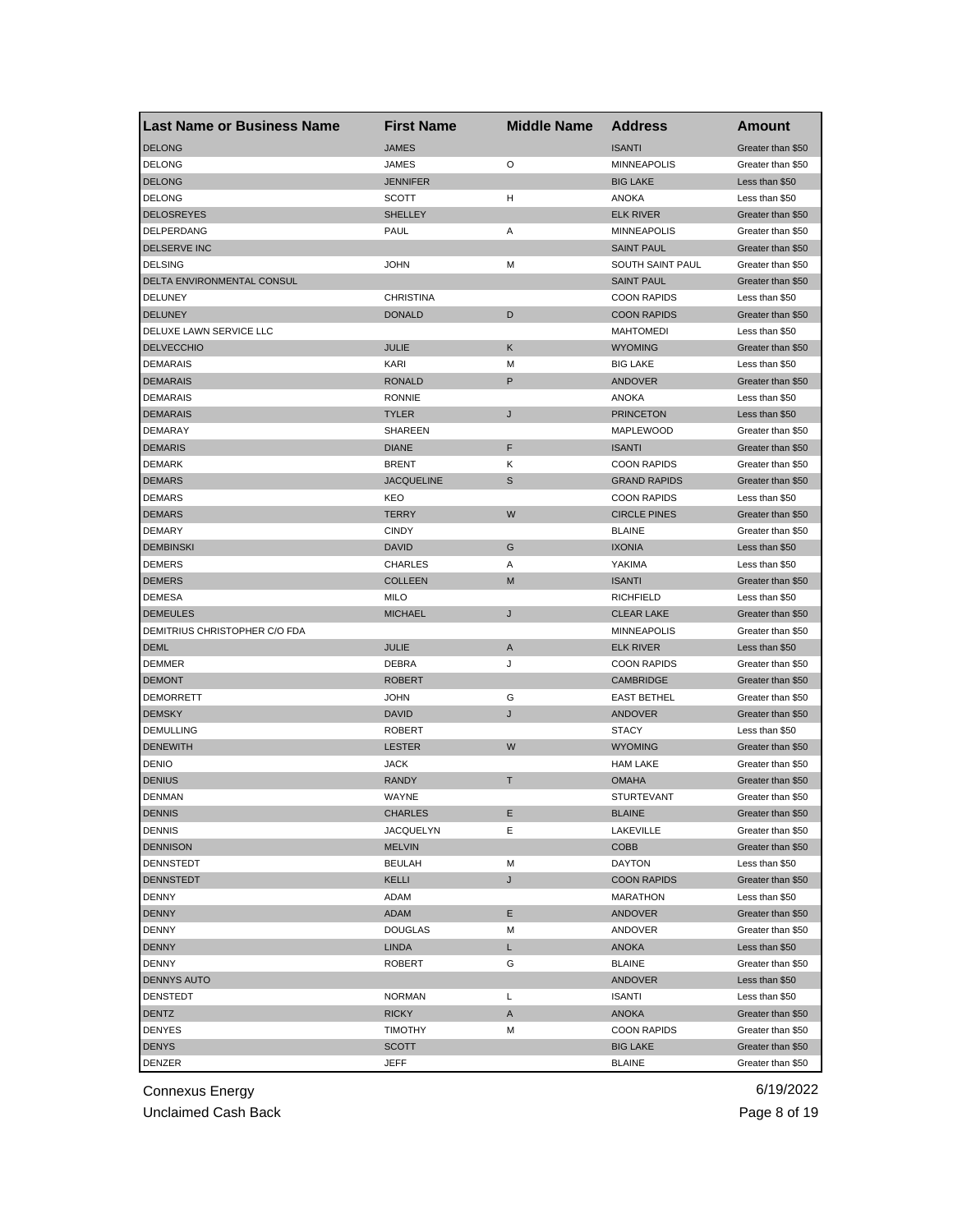| <b>Last Name or Business Name</b> | <b>First Name</b> | <b>Middle Name</b> | <b>Address</b>                     | <b>Amount</b>                       |
|-----------------------------------|-------------------|--------------------|------------------------------------|-------------------------------------|
| <b>DELONG</b>                     | <b>JAMES</b>      |                    | <b>ISANTI</b>                      | Greater than \$50                   |
| <b>DELONG</b>                     | JAMES             | O                  | <b>MINNEAPOLIS</b>                 | Greater than \$50                   |
| <b>DELONG</b>                     | <b>JENNIFER</b>   |                    | <b>BIG LAKE</b>                    | Less than \$50                      |
| <b>DELONG</b>                     | <b>SCOTT</b>      | н                  | <b>ANOKA</b>                       | Less than \$50                      |
| <b>DELOSREYES</b>                 | <b>SHELLEY</b>    |                    | <b>ELK RIVER</b>                   | Greater than \$50                   |
| DELPERDANG                        | PAUL              | Α                  | <b>MINNEAPOLIS</b>                 | Greater than \$50                   |
| DELSERVE INC                      |                   |                    | <b>SAINT PAUL</b>                  | Greater than \$50                   |
| <b>DELSING</b>                    | <b>JOHN</b>       | M                  | SOUTH SAINT PAUL                   | Greater than \$50                   |
| DELTA ENVIRONMENTAL CONSUL        |                   |                    | <b>SAINT PAUL</b>                  | Greater than \$50                   |
| DELUNEY                           | <b>CHRISTINA</b>  |                    | <b>COON RAPIDS</b>                 | Less than \$50                      |
| <b>DELUNEY</b>                    | <b>DONALD</b>     | D                  | <b>COON RAPIDS</b>                 | Greater than \$50                   |
| DELUXE LAWN SERVICE LLC           |                   |                    | <b>MAHTOMEDI</b>                   | Less than \$50                      |
| <b>DELVECCHIO</b>                 | <b>JULIE</b>      | Κ                  | <b>WYOMING</b>                     | Greater than \$50                   |
| <b>DEMARAIS</b>                   | <b>KARI</b>       | M                  | <b>BIG LAKE</b>                    | Less than \$50                      |
| <b>DEMARAIS</b>                   | <b>RONALD</b>     | P                  | ANDOVER                            | Greater than \$50                   |
| <b>DEMARAIS</b>                   | <b>RONNIE</b>     |                    | <b>ANOKA</b>                       | Less than \$50                      |
| <b>DEMARAIS</b>                   | <b>TYLER</b>      | J                  | <b>PRINCETON</b>                   | Less than \$50                      |
| <b>DEMARAY</b>                    | SHAREEN           |                    | MAPLEWOOD                          | Greater than \$50                   |
| <b>DEMARIS</b>                    | <b>DIANE</b>      | F                  | <b>ISANTI</b>                      | Greater than \$50                   |
| <b>DEMARK</b>                     | <b>BRENT</b>      | Κ                  | <b>COON RAPIDS</b>                 | Greater than \$50                   |
| <b>DEMARS</b>                     | <b>JACQUELINE</b> | S                  | <b>GRAND RAPIDS</b>                | Greater than \$50                   |
| <b>DEMARS</b>                     | KEO               |                    | <b>COON RAPIDS</b>                 | Less than \$50                      |
| <b>DEMARS</b>                     | <b>TERRY</b>      | W                  | <b>CIRCLE PINES</b>                | Greater than \$50                   |
| <b>DEMARY</b>                     | <b>CINDY</b>      |                    | <b>BLAINE</b>                      | Greater than \$50                   |
| <b>DEMBINSKI</b>                  | <b>DAVID</b>      | G                  | <b>IXONIA</b>                      | Less than \$50                      |
| <b>DEMERS</b>                     | <b>CHARLES</b>    | Α                  | YAKIMA                             | Less than \$50                      |
| <b>DEMERS</b>                     | <b>COLLEEN</b>    | M                  | <b>ISANTI</b>                      | Greater than \$50                   |
| <b>DEMESA</b>                     | MILO              |                    | <b>RICHFIELD</b>                   | Less than \$50                      |
| <b>DEMEULES</b>                   | <b>MICHAEL</b>    | J                  | <b>CLEAR LAKE</b>                  | Greater than \$50                   |
| DEMITRIUS CHRISTOPHER C/O FDA     |                   |                    | <b>MINNEAPOLIS</b>                 | Greater than \$50                   |
| <b>DEML</b>                       | JULIE             | A                  | <b>ELK RIVER</b>                   | Less than \$50                      |
| <b>DEMMER</b>                     | DEBRA             | J                  | <b>COON RAPIDS</b>                 | Greater than \$50                   |
| <b>DEMONT</b>                     | <b>ROBERT</b>     |                    | <b>CAMBRIDGE</b>                   | Greater than \$50                   |
| <b>DEMORRETT</b>                  | JOHN              | G                  | <b>EAST BETHEL</b>                 | Greater than \$50                   |
| <b>DEMSKY</b>                     | <b>DAVID</b>      |                    |                                    |                                     |
| <b>DEMULLING</b>                  | <b>ROBERT</b>     | J                  | ANDOVER<br><b>STACY</b>            | Greater than \$50<br>Less than \$50 |
|                                   |                   | W                  |                                    |                                     |
| <b>DENEWITH</b>                   | <b>LESTER</b>     |                    | <b>WYOMING</b><br><b>HAM LAKE</b>  | Greater than \$50                   |
| <b>DENIO</b>                      | <b>JACK</b>       |                    |                                    | Greater than \$50                   |
| <b>DENIUS</b>                     | <b>RANDY</b>      | т                  | <b>OMAHA</b>                       | Greater than \$50                   |
| <b>DENMAN</b>                     | WAYNE             |                    | <b>STURTEVANT</b><br><b>BLAINE</b> | Greater than \$50                   |
| <b>DENNIS</b>                     | CHARLES           | Е.                 |                                    | Greater than \$50                   |
| <b>DENNIS</b>                     | <b>JACQUELYN</b>  | Ε                  | LAKEVILLE                          | Greater than \$50                   |
| <b>DENNISON</b>                   | <b>MELVIN</b>     |                    | COBB                               | Greater than \$50                   |
| DENNSTEDT                         | <b>BEULAH</b>     | М                  | <b>DAYTON</b>                      | Less than \$50                      |
| <b>DENNSTEDT</b>                  | <b>KELLI</b>      | J                  | <b>COON RAPIDS</b>                 | Greater than \$50                   |
| <b>DENNY</b>                      | ADAM              |                    | <b>MARATHON</b>                    | Less than \$50                      |
| <b>DENNY</b>                      | ADAM              | Е                  | <b>ANDOVER</b>                     | Greater than \$50                   |
| DENNY                             | <b>DOUGLAS</b>    | M                  | ANDOVER                            | Greater than \$50                   |
| <b>DENNY</b>                      | <b>LINDA</b>      | L                  | ANOKA                              | Less than \$50                      |
| DENNY                             | <b>ROBERT</b>     | G                  | <b>BLAINE</b>                      | Greater than \$50                   |
| DENNYS AUTO                       |                   |                    | ANDOVER                            | Less than \$50                      |
| <b>DENSTEDT</b>                   | <b>NORMAN</b>     | Г                  | <b>ISANTI</b>                      | Less than \$50                      |
| DENTZ                             | <b>RICKY</b>      | A                  | ANOKA                              | Greater than \$50                   |
| <b>DENYES</b>                     | <b>TIMOTHY</b>    | M                  | <b>COON RAPIDS</b>                 | Greater than \$50                   |
| <b>DENYS</b>                      | <b>SCOTT</b>      |                    | <b>BIG LAKE</b>                    | Greater than \$50                   |
| DENZER                            | JEFF              |                    | <b>BLAINE</b>                      | Greater than \$50                   |

Unclaimed Cash Back **Page 8 of 19**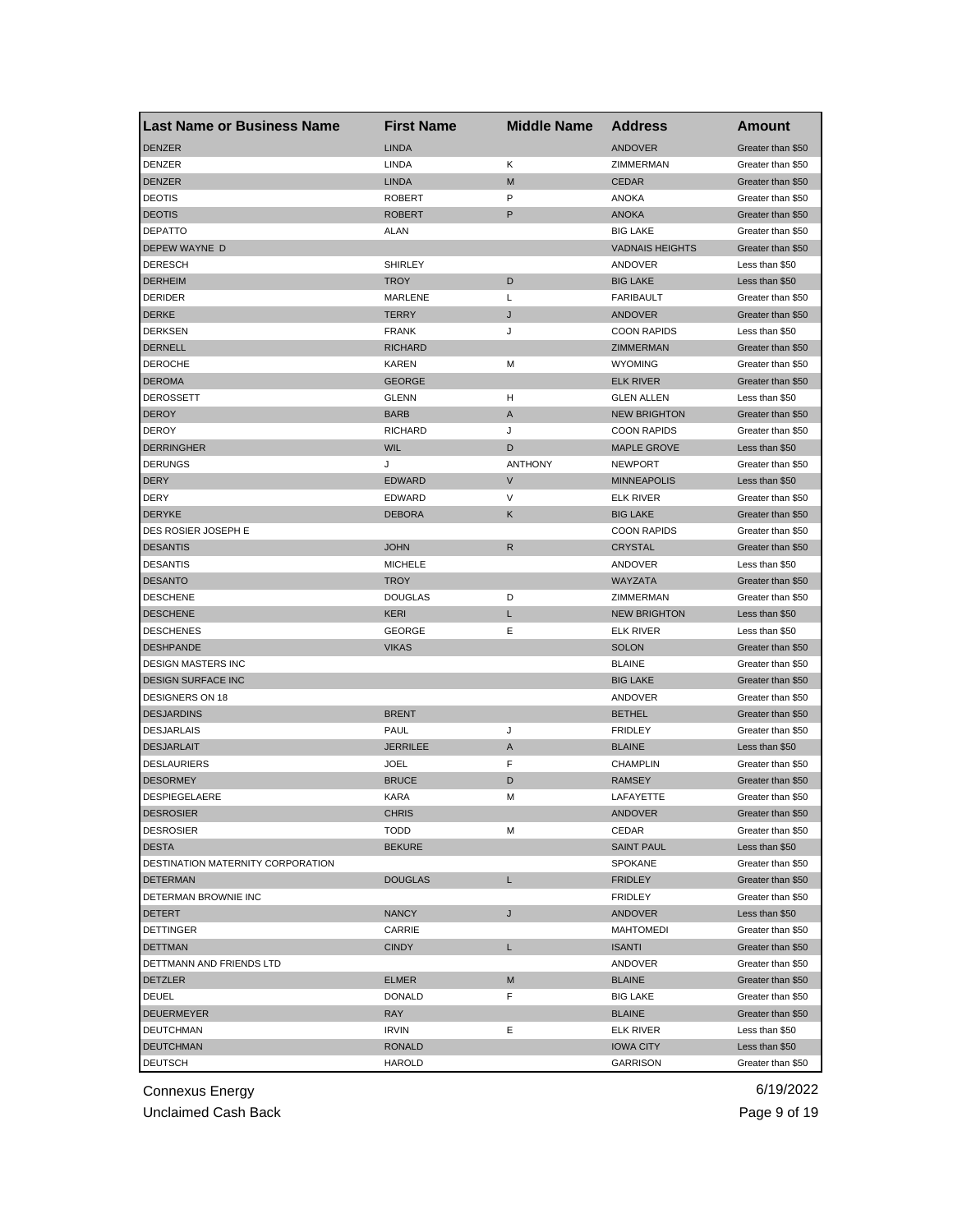| <b>Last Name or Business Name</b>    | <b>First Name</b> | <b>Middle Name</b> | <b>Address</b>         | Amount                              |
|--------------------------------------|-------------------|--------------------|------------------------|-------------------------------------|
| <b>DENZER</b>                        | <b>LINDA</b>      |                    | <b>ANDOVER</b>         | Greater than \$50                   |
| DENZER                               | LINDA             | Κ                  | ZIMMERMAN              | Greater than \$50                   |
| <b>DENZER</b>                        | <b>LINDA</b>      | M                  | <b>CEDAR</b>           | Greater than \$50                   |
| <b>DEOTIS</b>                        | <b>ROBERT</b>     | P                  | ANOKA                  | Greater than \$50                   |
| <b>DEOTIS</b>                        | <b>ROBERT</b>     | P                  | <b>ANOKA</b>           | Greater than \$50                   |
| <b>DEPATTO</b>                       | ALAN              |                    | <b>BIG LAKE</b>        | Greater than \$50                   |
| DEPEW WAYNE D                        |                   |                    | <b>VADNAIS HEIGHTS</b> | Greater than \$50                   |
| <b>DERESCH</b>                       | <b>SHIRLEY</b>    |                    | ANDOVER                | Less than \$50                      |
| <b>DERHEIM</b>                       | <b>TROY</b>       | D                  | <b>BIG LAKE</b>        | Less than \$50                      |
| <b>DERIDER</b>                       | MARLENE           | Г                  | <b>FARIBAULT</b>       | Greater than \$50                   |
| <b>DERKE</b>                         | <b>TERRY</b>      | J                  | ANDOVER                | Greater than \$50                   |
| <b>DERKSEN</b>                       | <b>FRANK</b>      | J                  | <b>COON RAPIDS</b>     | Less than \$50                      |
| <b>DERNELL</b>                       | <b>RICHARD</b>    |                    | ZIMMERMAN              | Greater than \$50                   |
| <b>DEROCHE</b>                       | <b>KAREN</b>      | M                  | <b>WYOMING</b>         | Greater than \$50                   |
| <b>DEROMA</b>                        | <b>GEORGE</b>     |                    | <b>ELK RIVER</b>       | Greater than \$50                   |
| DEROSSETT                            | <b>GLENN</b>      | н                  | <b>GLEN ALLEN</b>      | Less than \$50                      |
| <b>DEROY</b>                         | <b>BARB</b>       | A                  | <b>NEW BRIGHTON</b>    | Greater than \$50                   |
| <b>DEROY</b>                         | <b>RICHARD</b>    | J                  | <b>COON RAPIDS</b>     | Greater than \$50                   |
| <b>DERRINGHER</b>                    | <b>WIL</b>        | D                  | <b>MAPLE GROVE</b>     | Less than \$50                      |
| <b>DERUNGS</b>                       | J                 | <b>ANTHONY</b>     | <b>NEWPORT</b>         | Greater than \$50                   |
| <b>DERY</b>                          | <b>EDWARD</b>     | $\vee$             | <b>MINNEAPOLIS</b>     | Less than \$50                      |
| <b>DERY</b>                          | EDWARD            | V                  | <b>ELK RIVER</b>       | Greater than \$50                   |
| <b>DERYKE</b>                        | <b>DEBORA</b>     | Κ                  | <b>BIG LAKE</b>        | Greater than \$50                   |
| DES ROSIER JOSEPH E                  |                   |                    | <b>COON RAPIDS</b>     | Greater than \$50                   |
| <b>DESANTIS</b>                      | <b>JOHN</b>       | $\mathsf{R}$       | <b>CRYSTAL</b>         | Greater than \$50                   |
| <b>DESANTIS</b>                      | <b>MICHELE</b>    |                    | ANDOVER                | Less than \$50                      |
| <b>DESANTO</b>                       | <b>TROY</b>       |                    | WAYZATA                | Greater than \$50                   |
| <b>DESCHENE</b>                      | <b>DOUGLAS</b>    | D                  | ZIMMERMAN              | Greater than \$50                   |
| <b>DESCHENE</b>                      | <b>KERI</b>       | L                  | <b>NEW BRIGHTON</b>    | Less than \$50                      |
| <b>DESCHENES</b>                     | <b>GEORGE</b>     | Е                  | <b>ELK RIVER</b>       | Less than \$50                      |
| <b>DESHPANDE</b>                     | <b>VIKAS</b>      |                    | <b>SOLON</b>           | Greater than \$50                   |
| <b>DESIGN MASTERS INC</b>            |                   |                    | <b>BLAINE</b>          | Greater than \$50                   |
| <b>DESIGN SURFACE INC</b>            |                   |                    | <b>BIG LAKE</b>        | Greater than \$50                   |
| <b>DESIGNERS ON 18</b>               |                   |                    | ANDOVER                | Greater than \$50                   |
| <b>DESJARDINS</b>                    | <b>BRENT</b>      |                    | <b>BETHEL</b>          | Greater than \$50                   |
| <b>DESJARLAIS</b>                    | PAUL              | J                  | <b>FRIDLEY</b>         | Greater than \$50                   |
| <b>DESJARLAIT</b>                    | <b>JERRILEE</b>   | A                  | <b>BLAINE</b>          | Less than \$50                      |
| <b>DESLAURIERS</b>                   | <b>JOEL</b>       | F                  | <b>CHAMPLIN</b>        |                                     |
| <b>DESORMEY</b>                      | <b>BRUCE</b>      | D                  | <b>RAMSEY</b>          | Greater than \$50                   |
| <b>DESPIEGELAERE</b>                 | <b>KARA</b>       | M                  | LAFAYETTE              | Greater than \$50                   |
|                                      |                   |                    |                        | Greater than \$50                   |
| <b>DESROSIER</b><br><b>DESROSIER</b> | CHRIS             | М                  | <b>ANDOVER</b>         | Greater than \$50                   |
| <b>DESTA</b>                         | <b>TODD</b>       |                    | CEDAR                  | Greater than \$50                   |
| DESTINATION MATERNITY CORPORATION    | <b>BEKURE</b>     |                    | <b>SAINT PAUL</b>      | Less than \$50<br>Greater than \$50 |
|                                      |                   |                    | <b>SPOKANE</b>         |                                     |
| <b>DETERMAN</b>                      | <b>DOUGLAS</b>    | L                  | <b>FRIDLEY</b>         | Greater than \$50                   |
| DETERMAN BROWNIE INC                 |                   |                    | <b>FRIDLEY</b>         | Greater than \$50                   |
| <b>DETERT</b>                        | <b>NANCY</b>      | J                  | <b>ANDOVER</b>         | Less than \$50                      |
| <b>DETTINGER</b>                     | CARRIE            |                    | <b>MAHTOMEDI</b>       | Greater than \$50                   |
| <b>DETTMAN</b>                       | <b>CINDY</b>      | L                  | <b>ISANTI</b>          | Greater than \$50                   |
| DETTMANN AND FRIENDS LTD             |                   |                    | ANDOVER                | Greater than \$50                   |
| <b>DETZLER</b>                       | <b>ELMER</b>      | M                  | <b>BLAINE</b>          | Greater than \$50                   |
| <b>DEUEL</b>                         | <b>DONALD</b>     | F                  | <b>BIG LAKE</b>        | Greater than \$50                   |
| <b>DEUERMEYER</b>                    | <b>RAY</b>        |                    | <b>BLAINE</b>          | Greater than \$50                   |
| <b>DEUTCHMAN</b>                     | <b>IRVIN</b>      | Ε                  | <b>ELK RIVER</b>       | Less than \$50                      |
| <b>DEUTCHMAN</b>                     | <b>RONALD</b>     |                    | <b>IOWA CITY</b>       | Less than \$50                      |
| <b>DEUTSCH</b>                       | HAROLD            |                    | GARRISON               | Greater than \$50                   |

Unclaimed Cash Back **Page 9 of 19**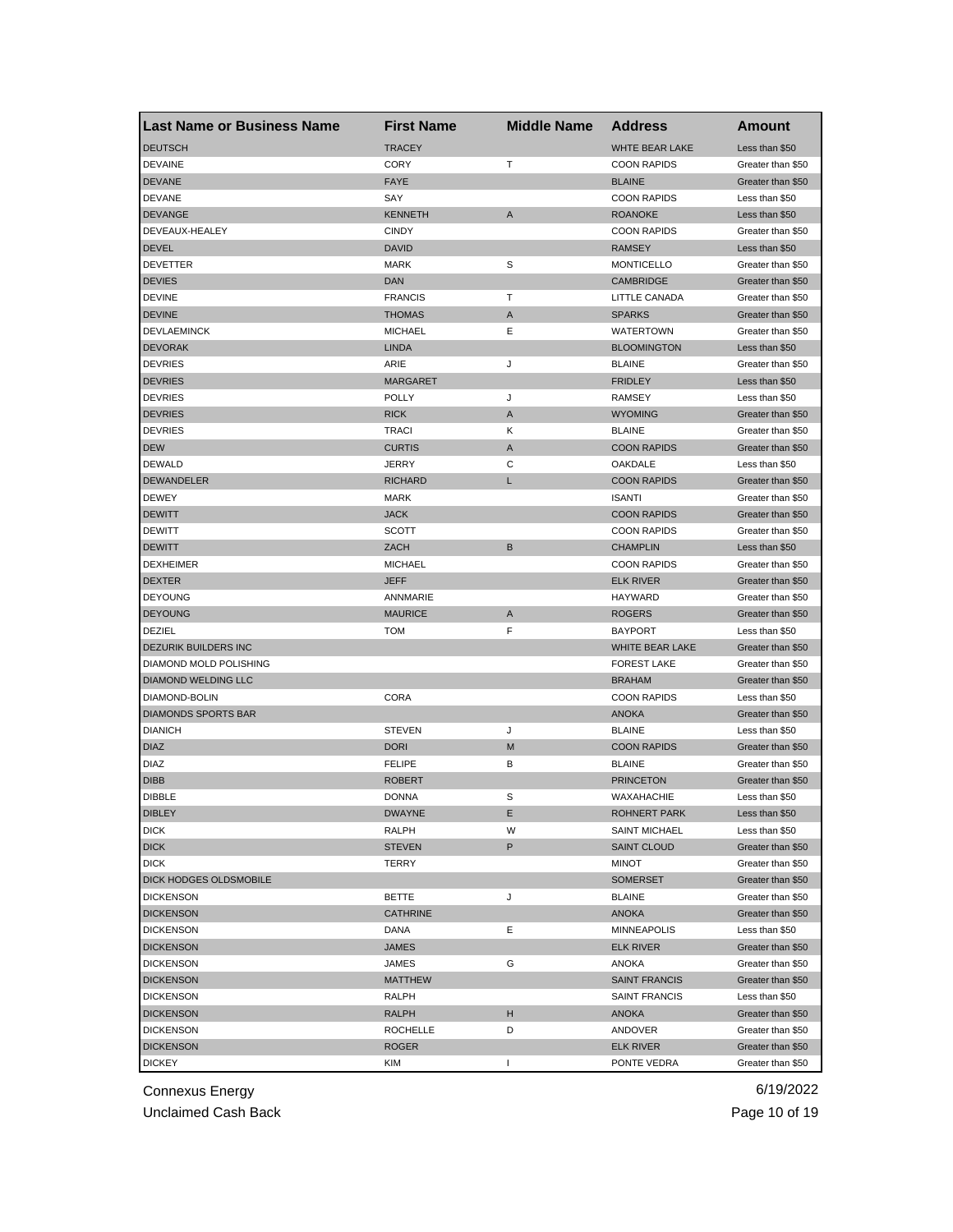| <b>Last Name or Business Name</b> | <b>First Name</b> | <b>Middle Name</b> | <b>Address</b>                | Amount            |
|-----------------------------------|-------------------|--------------------|-------------------------------|-------------------|
| <b>DEUTSCH</b>                    | <b>TRACEY</b>     |                    | WHTE BEAR LAKE                | Less than \$50    |
| <b>DEVAINE</b>                    | <b>CORY</b>       | т                  | <b>COON RAPIDS</b>            | Greater than \$50 |
| <b>DEVANE</b>                     | <b>FAYE</b>       |                    | <b>BLAINE</b>                 | Greater than \$50 |
| <b>DEVANE</b>                     | SAY               |                    | <b>COON RAPIDS</b>            | Less than \$50    |
| <b>DEVANGE</b>                    | <b>KENNETH</b>    | A                  | <b>ROANOKE</b>                | Less than \$50    |
| DEVEAUX-HEALEY                    | <b>CINDY</b>      |                    | <b>COON RAPIDS</b>            | Greater than \$50 |
| <b>DEVEL</b>                      | <b>DAVID</b>      |                    | <b>RAMSEY</b>                 | Less than \$50    |
| <b>DEVETTER</b>                   | <b>MARK</b>       | S                  | <b>MONTICELLO</b>             | Greater than \$50 |
| <b>DEVIES</b>                     | <b>DAN</b>        |                    | CAMBRIDGE                     | Greater than \$50 |
| <b>DEVINE</b>                     | <b>FRANCIS</b>    | т                  | LITTLE CANADA                 | Greater than \$50 |
| <b>DEVINE</b>                     | <b>THOMAS</b>     | Α                  | <b>SPARKS</b>                 | Greater than \$50 |
| <b>DEVLAEMINCK</b>                | <b>MICHAEL</b>    | Ε                  | <b>WATERTOWN</b>              | Greater than \$50 |
| <b>DEVORAK</b>                    | <b>LINDA</b>      |                    | <b>BLOOMINGTON</b>            | Less than \$50    |
| <b>DEVRIES</b>                    | ARIE              | J                  | <b>BLAINE</b>                 | Greater than \$50 |
| <b>DEVRIES</b>                    | <b>MARGARET</b>   |                    | <b>FRIDLEY</b>                | Less than \$50    |
| <b>DEVRIES</b>                    | <b>POLLY</b>      | J                  | <b>RAMSEY</b>                 | Less than \$50    |
| <b>DEVRIES</b>                    | <b>RICK</b>       | A                  | <b>WYOMING</b>                | Greater than \$50 |
| <b>DEVRIES</b>                    | <b>TRACI</b>      | Κ                  | <b>BLAINE</b>                 | Greater than \$50 |
| <b>DEW</b>                        | <b>CURTIS</b>     | A                  | <b>COON RAPIDS</b>            | Greater than \$50 |
| <b>DEWALD</b>                     | <b>JERRY</b>      | С                  | OAKDALE                       | Less than \$50    |
| <b>DEWANDELER</b>                 | <b>RICHARD</b>    | L                  | <b>COON RAPIDS</b>            | Greater than \$50 |
| <b>DEWEY</b>                      | <b>MARK</b>       |                    | <b>ISANTI</b>                 | Greater than \$50 |
| <b>DEWITT</b>                     | <b>JACK</b>       |                    | <b>COON RAPIDS</b>            | Greater than \$50 |
| <b>DEWITT</b>                     | <b>SCOTT</b>      |                    | <b>COON RAPIDS</b>            | Greater than \$50 |
| <b>DEWITT</b>                     | ZACH              | B                  | <b>CHAMPLIN</b>               | Less than \$50    |
| <b>DEXHEIMER</b>                  | <b>MICHAEL</b>    |                    | <b>COON RAPIDS</b>            | Greater than \$50 |
| <b>DEXTER</b>                     | <b>JEFF</b>       |                    | <b>ELK RIVER</b>              | Greater than \$50 |
| <b>DEYOUNG</b>                    | ANNMARIE          |                    | HAYWARD                       | Greater than \$50 |
| <b>DEYOUNG</b>                    | <b>MAURICE</b>    | Α                  | <b>ROGERS</b>                 | Greater than \$50 |
| DEZIEL                            | <b>TOM</b>        | F                  | <b>BAYPORT</b>                | Less than \$50    |
| DEZURIK BUILDERS INC              |                   |                    | WHITE BEAR LAKE               | Greater than \$50 |
| DIAMOND MOLD POLISHING            |                   |                    | <b>FOREST LAKE</b>            | Greater than \$50 |
| DIAMOND WELDING LLC               |                   |                    | <b>BRAHAM</b>                 | Greater than \$50 |
| DIAMOND-BOLIN                     | CORA              |                    | <b>COON RAPIDS</b>            | Less than \$50    |
| <b>DIAMONDS SPORTS BAR</b>        |                   |                    |                               | Greater than \$50 |
| <b>DIANICH</b>                    | <b>STEVEN</b>     | J                  | <b>ANOKA</b><br><b>BLAINE</b> |                   |
|                                   |                   |                    |                               | Less than \$50    |
| <b>DIAZ</b>                       | <b>DORI</b>       | M                  | <b>COON RAPIDS</b>            | Greater than \$50 |
| <b>DIAZ</b>                       | <b>FELIPE</b>     | В                  | <b>BLAINE</b>                 | Greater than \$50 |
| <b>DIBB</b>                       | <b>ROBERT</b>     |                    | <b>PRINCETON</b>              | Greater than \$50 |
| <b>DIBBLE</b>                     | <b>DONNA</b>      | S                  | WAXAHACHIE                    | Less than \$50    |
| <b>DIBLEY</b>                     | DWAYNE            | Е                  | ROHNERT PARK                  | Less than \$50    |
| <b>DICK</b>                       | RALPH             | W                  | <b>SAINT MICHAEL</b>          | Less than \$50    |
| <b>DICK</b>                       | <b>STEVEN</b>     | P                  | <b>SAINT CLOUD</b>            | Greater than \$50 |
| <b>DICK</b>                       | <b>TERRY</b>      |                    | MINOT                         | Greater than \$50 |
| DICK HODGES OLDSMOBILE            |                   |                    | <b>SOMERSET</b>               | Greater than \$50 |
| <b>DICKENSON</b>                  | BETTE             | J                  | <b>BLAINE</b>                 | Greater than \$50 |
| <b>DICKENSON</b>                  | <b>CATHRINE</b>   |                    | <b>ANOKA</b>                  | Greater than \$50 |
| <b>DICKENSON</b>                  | DANA              | Ε                  | <b>MINNEAPOLIS</b>            | Less than \$50    |
| <b>DICKENSON</b>                  | <b>JAMES</b>      |                    | <b>ELK RIVER</b>              | Greater than \$50 |
| <b>DICKENSON</b>                  | <b>JAMES</b>      | G                  | ANOKA                         | Greater than \$50 |
| <b>DICKENSON</b>                  | <b>MATTHEW</b>    |                    | <b>SAINT FRANCIS</b>          | Greater than \$50 |
| <b>DICKENSON</b>                  | RALPH             |                    | <b>SAINT FRANCIS</b>          | Less than \$50    |
| <b>DICKENSON</b>                  | RALPH             | н                  | ANOKA                         | Greater than \$50 |
| <b>DICKENSON</b>                  | <b>ROCHELLE</b>   | D                  | ANDOVER                       | Greater than \$50 |
| <b>DICKENSON</b>                  | <b>ROGER</b>      |                    | <b>ELK RIVER</b>              | Greater than \$50 |
| <b>DICKEY</b>                     | KIM               | $\mathbf{I}$       | PONTE VEDRA                   | Greater than \$50 |

Unclaimed Cash Back **Page 10 of 19**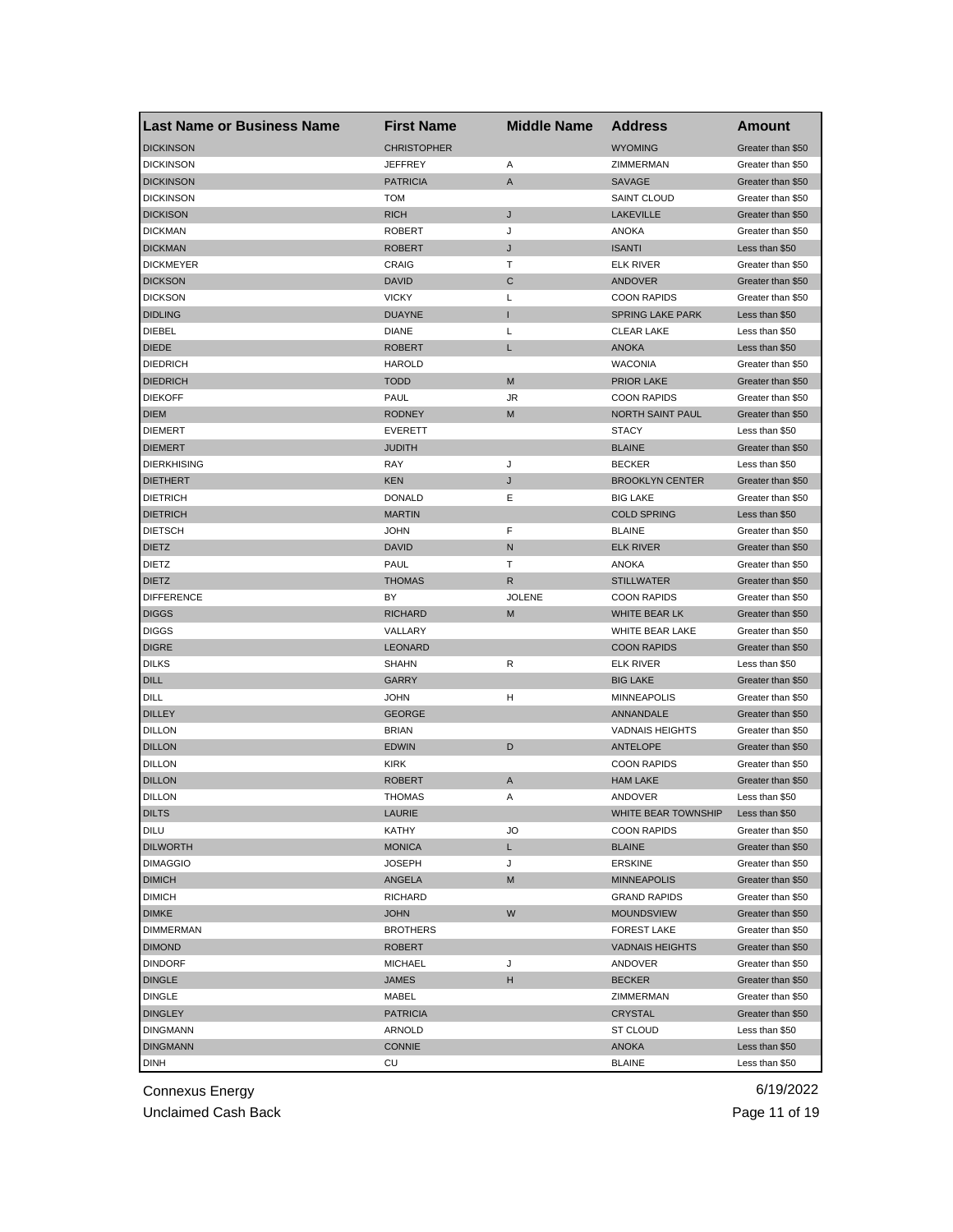| <b>Last Name or Business Name</b> | <b>First Name</b>  | <b>Middle Name</b> | <b>Address</b>          | Amount            |
|-----------------------------------|--------------------|--------------------|-------------------------|-------------------|
| <b>DICKINSON</b>                  | <b>CHRISTOPHER</b> |                    | <b>WYOMING</b>          | Greater than \$50 |
| <b>DICKINSON</b>                  | <b>JEFFREY</b>     | Α                  | ZIMMERMAN               | Greater than \$50 |
| <b>DICKINSON</b>                  | <b>PATRICIA</b>    | A                  | <b>SAVAGE</b>           | Greater than \$50 |
| <b>DICKINSON</b>                  | <b>TOM</b>         |                    | <b>SAINT CLOUD</b>      | Greater than \$50 |
| <b>DICKISON</b>                   | <b>RICH</b>        | J                  | <b>LAKEVILLE</b>        | Greater than \$50 |
| <b>DICKMAN</b>                    | <b>ROBERT</b>      | J                  | <b>ANOKA</b>            | Greater than \$50 |
| <b>DICKMAN</b>                    | <b>ROBERT</b>      | J                  | <b>ISANTI</b>           | Less than \$50    |
| <b>DICKMEYER</b>                  | CRAIG              | т                  | <b>ELK RIVER</b>        | Greater than \$50 |
| <b>DICKSON</b>                    | <b>DAVID</b>       | C                  | ANDOVER                 | Greater than \$50 |
| <b>DICKSON</b>                    | <b>VICKY</b>       | L                  | <b>COON RAPIDS</b>      | Greater than \$50 |
| <b>DIDLING</b>                    | <b>DUAYNE</b>      | Т                  | <b>SPRING LAKE PARK</b> | Less than \$50    |
| DIEBEL                            | <b>DIANE</b>       | L                  | <b>CLEAR LAKE</b>       | Less than \$50    |
| <b>DIEDE</b>                      | <b>ROBERT</b>      | L                  | <b>ANOKA</b>            | Less than \$50    |
| <b>DIEDRICH</b>                   | <b>HAROLD</b>      |                    | <b>WACONIA</b>          | Greater than \$50 |
| <b>DIEDRICH</b>                   | <b>TODD</b>        | M                  | <b>PRIOR LAKE</b>       | Greater than \$50 |
| <b>DIEKOFF</b>                    | PAUL               | JR                 | <b>COON RAPIDS</b>      | Greater than \$50 |
| <b>DIEM</b>                       | <b>RODNEY</b>      | M                  | NORTH SAINT PAUL        | Greater than \$50 |
| <b>DIEMERT</b>                    | <b>EVERETT</b>     |                    | <b>STACY</b>            | Less than \$50    |
| <b>DIEMERT</b>                    | <b>JUDITH</b>      |                    | <b>BLAINE</b>           | Greater than \$50 |
| <b>DIERKHISING</b>                | RAY                | J                  | <b>BECKER</b>           | Less than \$50    |
| <b>DIETHERT</b>                   | <b>KEN</b>         | J                  | <b>BROOKLYN CENTER</b>  | Greater than \$50 |
| <b>DIETRICH</b>                   | <b>DONALD</b>      | Ε                  | <b>BIG LAKE</b>         | Greater than \$50 |
| <b>DIETRICH</b>                   | <b>MARTIN</b>      |                    | <b>COLD SPRING</b>      | Less than \$50    |
| <b>DIETSCH</b>                    | <b>JOHN</b>        | F                  | <b>BLAINE</b>           | Greater than \$50 |
| <b>DIETZ</b>                      | <b>DAVID</b>       | N                  | <b>ELK RIVER</b>        | Greater than \$50 |
| <b>DIETZ</b>                      | <b>PAUL</b>        | т                  | <b>ANOKA</b>            | Greater than \$50 |
| <b>DIETZ</b>                      | <b>THOMAS</b>      | R                  | <b>STILLWATER</b>       | Greater than \$50 |
| <b>DIFFERENCE</b>                 | BY                 | <b>JOLENE</b>      | <b>COON RAPIDS</b>      | Greater than \$50 |
| <b>DIGGS</b>                      | <b>RICHARD</b>     | M                  | WHITE BEAR LK           | Greater than \$50 |
| <b>DIGGS</b>                      | VALLARY            |                    | WHITE BEAR LAKE         | Greater than \$50 |
| <b>DIGRE</b>                      | <b>LEONARD</b>     |                    | <b>COON RAPIDS</b>      | Greater than \$50 |
| <b>DILKS</b>                      | <b>SHAHN</b>       | R                  | <b>ELK RIVER</b>        | Less than \$50    |
| <b>DILL</b>                       | <b>GARRY</b>       |                    | <b>BIG LAKE</b>         | Greater than \$50 |
| DILL                              | <b>JOHN</b>        | H                  | <b>MINNEAPOLIS</b>      | Greater than \$50 |
| <b>DILLEY</b>                     | <b>GEORGE</b>      |                    | ANNANDALE               | Greater than \$50 |
| <b>DILLON</b>                     | <b>BRIAN</b>       |                    | <b>VADNAIS HEIGHTS</b>  | Greater than \$50 |
| <b>DILLON</b>                     | <b>EDWIN</b>       | D                  | <b>ANTELOPE</b>         | Greater than \$50 |
| <b>DILLON</b>                     | <b>KIRK</b>        |                    | <b>COON RAPIDS</b>      | Greater than \$50 |
| <b>DILLON</b>                     | <b>ROBERT</b>      | A                  | <b>HAM LAKE</b>         | Greater than \$50 |
| <b>DILLON</b>                     | <b>THOMAS</b>      | Α                  | ANDOVER                 | Less than \$50    |
| <b>DILTS</b>                      | LAURIE             |                    | WHITE BEAR TOWNSHIP     | Less than \$50    |
| <b>DILU</b>                       | KATHY              | JO                 | <b>COON RAPIDS</b>      | Greater than \$50 |
| <b>DILWORTH</b>                   | <b>MONICA</b>      | L.                 | <b>BLAINE</b>           | Greater than \$50 |
| <b>DIMAGGIO</b>                   | <b>JOSEPH</b>      | J                  | <b>ERSKINE</b>          | Greater than \$50 |
| <b>DIMICH</b>                     | ANGELA             | M                  | <b>MINNEAPOLIS</b>      | Greater than \$50 |
| <b>DIMICH</b>                     | RICHARD            |                    | <b>GRAND RAPIDS</b>     | Greater than \$50 |
| <b>DIMKE</b>                      | <b>JOHN</b>        | W                  | <b>MOUNDSVIEW</b>       | Greater than \$50 |
| <b>DIMMERMAN</b>                  | <b>BROTHERS</b>    |                    | <b>FOREST LAKE</b>      | Greater than \$50 |
| <b>DIMOND</b>                     | <b>ROBERT</b>      |                    | <b>VADNAIS HEIGHTS</b>  | Greater than \$50 |
| <b>DINDORF</b>                    | <b>MICHAEL</b>     | J                  | ANDOVER                 | Greater than \$50 |
| <b>DINGLE</b>                     | JAMES              | н                  | <b>BECKER</b>           | Greater than \$50 |
| <b>DINGLE</b>                     | MABEL              |                    | ZIMMERMAN               | Greater than \$50 |
| <b>DINGLEY</b>                    | <b>PATRICIA</b>    |                    | CRYSTAL                 | Greater than \$50 |
| <b>DINGMANN</b>                   | ARNOLD             |                    | ST CLOUD                | Less than \$50    |
| <b>DINGMANN</b>                   | <b>CONNIE</b>      |                    | ANOKA                   | Less than \$50    |
| <b>DINH</b>                       | CU                 |                    | <b>BLAINE</b>           | Less than \$50    |
|                                   |                    |                    |                         |                   |

Unclaimed Cash Back **Page 11 of 19**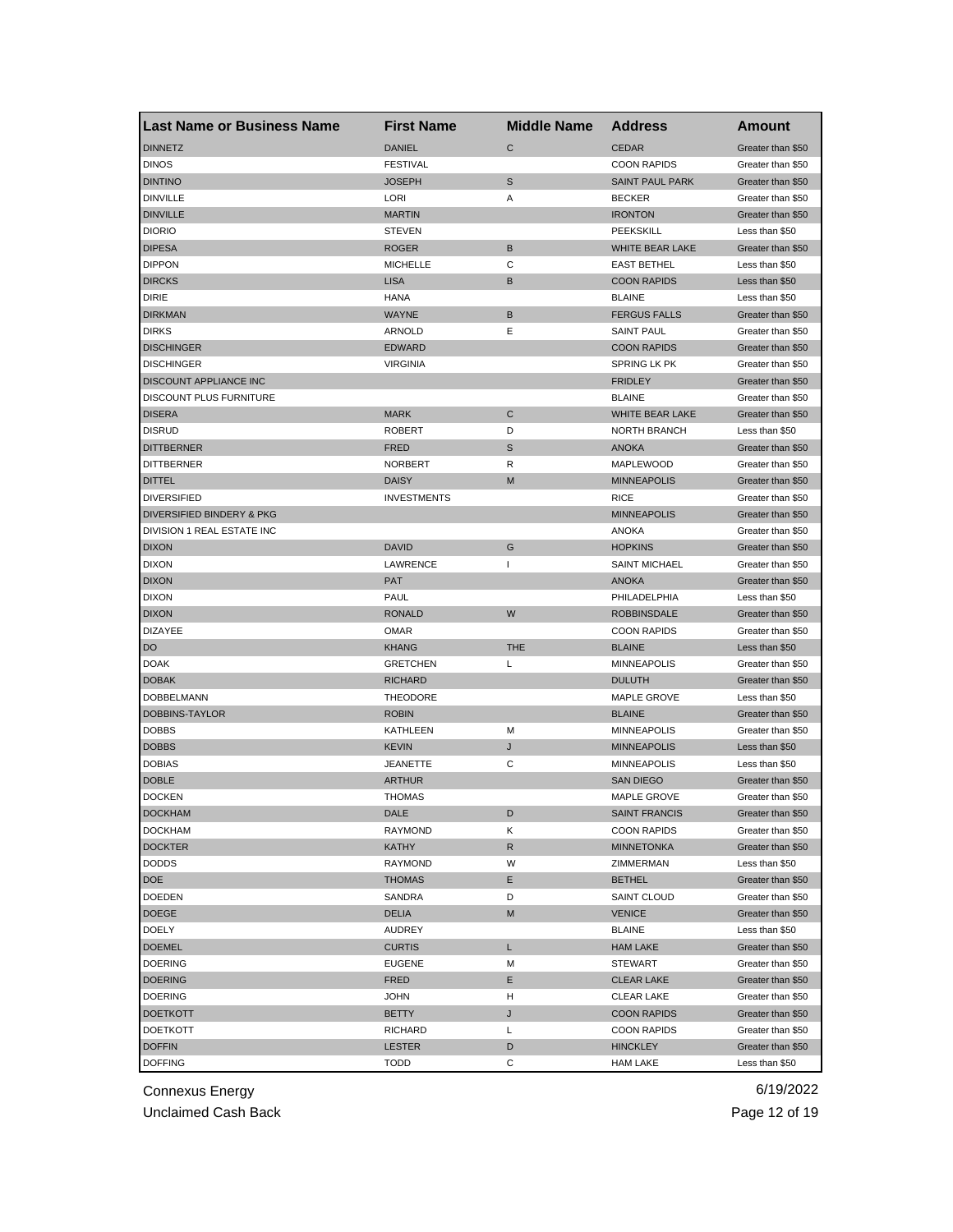| <b>Last Name or Business Name</b> | <b>First Name</b>  | <b>Middle Name</b> | <b>Address</b>         | Amount                                 |
|-----------------------------------|--------------------|--------------------|------------------------|----------------------------------------|
| <b>DINNETZ</b>                    | <b>DANIEL</b>      | $\mathsf{C}$       | <b>CEDAR</b>           | Greater than \$50                      |
| <b>DINOS</b>                      | <b>FESTIVAL</b>    |                    | <b>COON RAPIDS</b>     | Greater than \$50                      |
| <b>DINTINO</b>                    | <b>JOSEPH</b>      | S                  | <b>SAINT PAUL PARK</b> | Greater than \$50                      |
| <b>DINVILLE</b>                   | LORI               | Α                  | <b>BECKER</b>          | Greater than \$50                      |
| <b>DINVILLE</b>                   | <b>MARTIN</b>      |                    | <b>IRONTON</b>         | Greater than \$50                      |
| <b>DIORIO</b>                     | <b>STEVEN</b>      |                    | PEEKSKILL              | Less than \$50                         |
| <b>DIPESA</b>                     | <b>ROGER</b>       | B                  | WHITE BEAR LAKE        | Greater than \$50                      |
| <b>DIPPON</b>                     | <b>MICHELLE</b>    | C                  | <b>EAST BETHEL</b>     | Less than \$50                         |
| <b>DIRCKS</b>                     | <b>LISA</b>        | B                  | <b>COON RAPIDS</b>     | Less than \$50                         |
| <b>DIRIE</b>                      | <b>HANA</b>        |                    | <b>BLAINE</b>          | Less than \$50                         |
| <b>DIRKMAN</b>                    | <b>WAYNE</b>       | B                  | <b>FERGUS FALLS</b>    | Greater than \$50                      |
| <b>DIRKS</b>                      | ARNOLD             | Ε                  | <b>SAINT PAUL</b>      | Greater than \$50                      |
| <b>DISCHINGER</b>                 | <b>EDWARD</b>      |                    | <b>COON RAPIDS</b>     | Greater than \$50                      |
| <b>DISCHINGER</b>                 | <b>VIRGINIA</b>    |                    | SPRING LK PK           | Greater than \$50                      |
| DISCOUNT APPLIANCE INC            |                    |                    | <b>FRIDLEY</b>         | Greater than \$50                      |
| DISCOUNT PLUS FURNITURE           |                    |                    | <b>BLAINE</b>          | Greater than \$50                      |
| <b>DISERA</b>                     | <b>MARK</b>        | C                  | WHITE BEAR LAKE        | Greater than \$50                      |
| <b>DISRUD</b>                     | <b>ROBERT</b>      | D                  | <b>NORTH BRANCH</b>    | Less than \$50                         |
| <b>DITTBERNER</b>                 | <b>FRED</b>        | S                  | <b>ANOKA</b>           | Greater than \$50                      |
| <b>DITTBERNER</b>                 | <b>NORBERT</b>     | R                  | MAPLEWOOD              | Greater than \$50                      |
| <b>DITTEL</b>                     | <b>DAISY</b>       | M                  | <b>MINNEAPOLIS</b>     | Greater than \$50                      |
| <b>DIVERSIFIED</b>                | <b>INVESTMENTS</b> |                    | <b>RICE</b>            | Greater than \$50                      |
| DIVERSIFIED BINDERY & PKG         |                    |                    | <b>MINNEAPOLIS</b>     | Greater than \$50                      |
| DIVISION 1 REAL ESTATE INC        |                    |                    | <b>ANOKA</b>           | Greater than \$50                      |
| <b>DIXON</b>                      | <b>DAVID</b>       | G                  | <b>HOPKINS</b>         | Greater than \$50                      |
| <b>DIXON</b>                      | LAWRENCE           | 1                  | <b>SAINT MICHAEL</b>   | Greater than \$50                      |
| <b>DIXON</b>                      | <b>PAT</b>         |                    | <b>ANOKA</b>           | Greater than \$50                      |
| <b>DIXON</b>                      | PAUL               |                    | PHILADELPHIA           | Less than \$50                         |
| <b>DIXON</b>                      | <b>RONALD</b>      | W                  | <b>ROBBINSDALE</b>     | Greater than \$50                      |
| <b>DIZAYEE</b>                    | <b>OMAR</b>        |                    | <b>COON RAPIDS</b>     | Greater than \$50                      |
| DO                                | <b>KHANG</b>       | <b>THE</b>         | <b>BLAINE</b>          | Less than \$50                         |
| <b>DOAK</b>                       | <b>GRETCHEN</b>    | Г                  | <b>MINNEAPOLIS</b>     | Greater than \$50                      |
| <b>DOBAK</b>                      | <b>RICHARD</b>     |                    | <b>DULUTH</b>          |                                        |
| DOBBELMANN                        | THEODORE           |                    | MAPLE GROVE            | Greater than \$50                      |
|                                   | <b>ROBIN</b>       |                    | <b>BLAINE</b>          | Less than \$50                         |
| DOBBINS-TAYLOR                    | <b>KATHLEEN</b>    | M                  |                        | Greater than \$50<br>Greater than \$50 |
| <b>DOBBS</b>                      |                    |                    | <b>MINNEAPOLIS</b>     | Less than \$50                         |
| <b>DOBBS</b>                      | <b>KEVIN</b>       | J                  | <b>MINNEAPOLIS</b>     |                                        |
| <b>DOBIAS</b>                     | <b>JEANETTE</b>    | С                  | <b>MINNEAPOLIS</b>     | Less than \$50                         |
| <b>DOBLE</b>                      | <b>ARTHUR</b>      |                    | <b>SAN DIEGO</b>       | Greater than \$50                      |
| <b>DOCKEN</b>                     | <b>THOMAS</b>      |                    | MAPLE GROVE            | Greater than \$50                      |
| <b>DOCKHAM</b>                    | DALE               | D                  | SAINT FRANCIS          | Greater than \$50                      |
| <b>DOCKHAM</b>                    | RAYMOND            | Κ                  | <b>COON RAPIDS</b>     | Greater than \$50                      |
| <b>DOCKTER</b>                    | <b>KATHY</b>       | R                  | <b>MINNETONKA</b>      | Greater than \$50                      |
| <b>DODDS</b>                      | RAYMOND            | W                  | ZIMMERMAN              | Less than \$50                         |
| DOE                               | <b>THOMAS</b>      | Е                  | <b>BETHEL</b>          | Greater than \$50                      |
| DOEDEN                            | SANDRA             | D                  | SAINT CLOUD            | Greater than \$50                      |
| <b>DOEGE</b>                      | <b>DELIA</b>       | M                  | <b>VENICE</b>          | Greater than \$50                      |
| DOELY                             | AUDREY             |                    | <b>BLAINE</b>          | Less than \$50                         |
| <b>DOEMEL</b>                     | <b>CURTIS</b>      | L                  | <b>HAM LAKE</b>        | Greater than \$50                      |
| <b>DOERING</b>                    | <b>EUGENE</b>      | M                  | <b>STEWART</b>         | Greater than \$50                      |
| <b>DOERING</b>                    | <b>FRED</b>        | Ε                  | <b>CLEAR LAKE</b>      | Greater than \$50                      |
| <b>DOERING</b>                    | <b>JOHN</b>        | н                  | <b>CLEAR LAKE</b>      | Greater than \$50                      |
| <b>DOETKOTT</b>                   | <b>BETTY</b>       | J                  | <b>COON RAPIDS</b>     | Greater than \$50                      |
| <b>DOETKOTT</b>                   | RICHARD            | L                  | <b>COON RAPIDS</b>     | Greater than \$50                      |
| <b>DOFFIN</b>                     | LESTER             | D                  | <b>HINCKLEY</b>        | Greater than \$50                      |
| <b>DOFFING</b>                    | <b>TODD</b>        | С                  | <b>HAM LAKE</b>        | Less than \$50                         |

Unclaimed Cash Back **Page 12 of 19**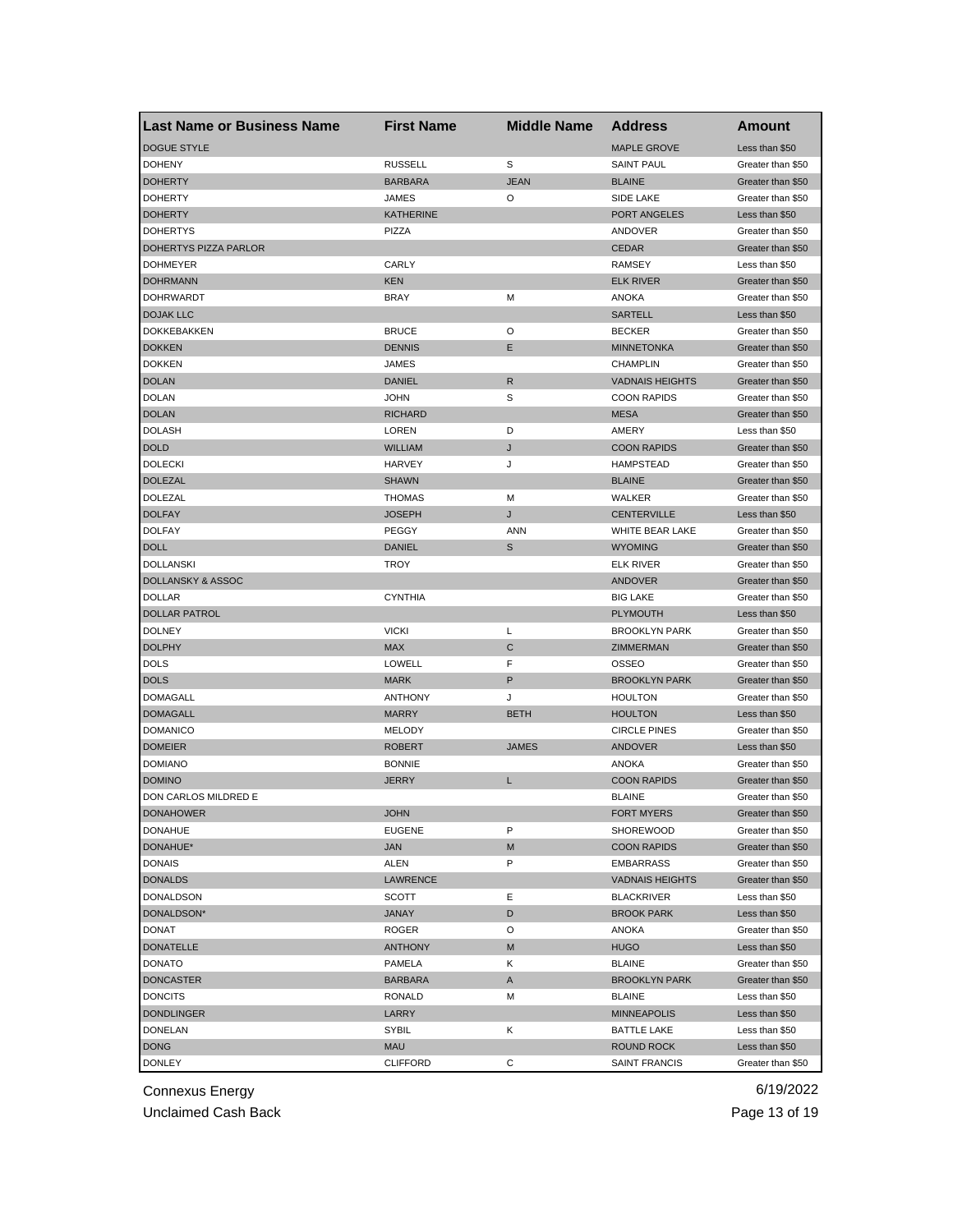| <b>Last Name or Business Name</b> | <b>First Name</b> | <b>Middle Name</b> | Address                | Amount            |
|-----------------------------------|-------------------|--------------------|------------------------|-------------------|
| <b>DOGUE STYLE</b>                |                   |                    | <b>MAPLE GROVE</b>     | Less than \$50    |
| <b>DOHENY</b>                     | <b>RUSSELL</b>    | S                  | <b>SAINT PAUL</b>      | Greater than \$50 |
| <b>DOHERTY</b>                    | <b>BARBARA</b>    | <b>JEAN</b>        | <b>BLAINE</b>          | Greater than \$50 |
| <b>DOHERTY</b>                    | <b>JAMES</b>      | O                  | SIDE LAKE              | Greater than \$50 |
| <b>DOHERTY</b>                    | <b>KATHERINE</b>  |                    | PORT ANGELES           | Less than \$50    |
| <b>DOHERTYS</b>                   | PIZZA             |                    | ANDOVER                | Greater than \$50 |
| DOHERTYS PIZZA PARLOR             |                   |                    | <b>CEDAR</b>           | Greater than \$50 |
| <b>DOHMEYER</b>                   | CARLY             |                    | <b>RAMSEY</b>          | Less than \$50    |
| <b>DOHRMANN</b>                   | <b>KEN</b>        |                    | <b>ELK RIVER</b>       | Greater than \$50 |
| <b>DOHRWARDT</b>                  | <b>BRAY</b>       | м                  | ANOKA                  | Greater than \$50 |
| <b>DOJAK LLC</b>                  |                   |                    | <b>SARTELL</b>         | Less than \$50    |
| DOKKEBAKKEN                       | <b>BRUCE</b>      | O                  | <b>BECKER</b>          | Greater than \$50 |
| <b>DOKKEN</b>                     | <b>DENNIS</b>     | Ε                  | <b>MINNETONKA</b>      | Greater than \$50 |
| <b>DOKKEN</b>                     | JAMES             |                    | <b>CHAMPLIN</b>        | Greater than \$50 |
| <b>DOLAN</b>                      | DANIEL            | R                  | <b>VADNAIS HEIGHTS</b> | Greater than \$50 |
| <b>DOLAN</b>                      | <b>JOHN</b>       | S                  | <b>COON RAPIDS</b>     | Greater than \$50 |
| <b>DOLAN</b>                      | <b>RICHARD</b>    |                    | <b>MESA</b>            | Greater than \$50 |
| <b>DOLASH</b>                     | LOREN             | D                  | AMERY                  | Less than \$50    |
| <b>DOLD</b>                       | <b>WILLIAM</b>    | J                  | <b>COON RAPIDS</b>     | Greater than \$50 |
| <b>DOLECKI</b>                    | HARVEY            | J                  | <b>HAMPSTEAD</b>       | Greater than \$50 |
| <b>DOLEZAL</b>                    | <b>SHAWN</b>      |                    | <b>BLAINE</b>          | Greater than \$50 |
| DOLEZAL                           | <b>THOMAS</b>     | M                  | WALKER                 | Greater than \$50 |
| <b>DOLFAY</b>                     | <b>JOSEPH</b>     | J                  | <b>CENTERVILLE</b>     | Less than \$50    |
| <b>DOLFAY</b>                     | <b>PEGGY</b>      | <b>ANN</b>         | WHITE BEAR LAKE        | Greater than \$50 |
| <b>DOLL</b>                       | <b>DANIEL</b>     | S                  | <b>WYOMING</b>         | Greater than \$50 |
| <b>DOLLANSKI</b>                  | <b>TROY</b>       |                    | <b>ELK RIVER</b>       | Greater than \$50 |
| DOLLANSKY & ASSOC                 |                   |                    | <b>ANDOVER</b>         | Greater than \$50 |
| <b>DOLLAR</b>                     | <b>CYNTHIA</b>    |                    | <b>BIG LAKE</b>        | Greater than \$50 |
| DOLLAR PATROL                     |                   |                    | <b>PLYMOUTH</b>        | Less than \$50    |
| <b>DOLNEY</b>                     | <b>VICKI</b>      | Г                  | <b>BROOKLYN PARK</b>   | Greater than \$50 |
| <b>DOLPHY</b>                     | <b>MAX</b>        | С                  | ZIMMERMAN              | Greater than \$50 |
| <b>DOLS</b>                       | LOWELL            | F                  | OSSEO                  | Greater than \$50 |
| <b>DOLS</b>                       | <b>MARK</b>       | P                  | <b>BROOKLYN PARK</b>   | Greater than \$50 |
| <b>DOMAGALL</b>                   | <b>ANTHONY</b>    | J                  | <b>HOULTON</b>         | Greater than \$50 |
| <b>DOMAGALL</b>                   | <b>MARRY</b>      | <b>BETH</b>        | <b>HOULTON</b>         | Less than \$50    |
| <b>DOMANICO</b>                   | <b>MELODY</b>     |                    | <b>CIRCLE PINES</b>    | Greater than \$50 |
| <b>DOMEIER</b>                    | ROBERT            | <b>JAMES</b>       | <b>ANDOVER</b>         | Less than \$50    |
| <b>DOMIANO</b>                    | <b>BONNIE</b>     |                    | ANOKA                  | Greater than \$50 |
| <b>DOMINO</b>                     | <b>JERRY</b>      | L                  | <b>COON RAPIDS</b>     | Greater than \$50 |
| DON CARLOS MILDRED E              |                   |                    | <b>BLAINE</b>          | Greater than \$50 |
| <b>DONAHOWER</b>                  | <b>JOHN</b>       |                    | <b>FORT MYERS</b>      | Greater than \$50 |
| <b>DONAHUE</b>                    | <b>EUGENE</b>     | P                  | SHOREWOOD              | Greater than \$50 |
| DONAHUE*                          | <b>JAN</b>        | M                  | <b>COON RAPIDS</b>     | Greater than \$50 |
| <b>DONAIS</b>                     | ALEN              | P                  | <b>EMBARRASS</b>       | Greater than \$50 |
| <b>DONALDS</b>                    | LAWRENCE          |                    | <b>VADNAIS HEIGHTS</b> | Greater than \$50 |
| DONALDSON                         | SCOTT             | Ε                  | <b>BLACKRIVER</b>      | Less than \$50    |
| DONALDSON*                        | <b>JANAY</b>      | D                  | <b>BROOK PARK</b>      | Less than \$50    |
| <b>DONAT</b>                      | <b>ROGER</b>      | O                  | ANOKA                  | Greater than \$50 |
| <b>DONATELLE</b>                  | <b>ANTHONY</b>    | M                  | <b>HUGO</b>            | Less than \$50    |
| <b>DONATO</b>                     | PAMELA            |                    | <b>BLAINE</b>          | Greater than \$50 |
| <b>DONCASTER</b>                  | <b>BARBARA</b>    | Κ<br>A             |                        | Greater than \$50 |
|                                   |                   |                    | <b>BROOKLYN PARK</b>   |                   |
| <b>DONCITS</b>                    | <b>RONALD</b>     | М                  | <b>BLAINE</b>          | Less than \$50    |
| <b>DONDLINGER</b>                 | LARRY             |                    | <b>MINNEAPOLIS</b>     | Less than \$50    |
| <b>DONELAN</b>                    | SYBIL             | Κ                  | <b>BATTLE LAKE</b>     | Less than \$50    |
| <b>DONG</b>                       | <b>MAU</b>        |                    | ROUND ROCK             | Less than \$50    |
| <b>DONLEY</b>                     | CLIFFORD          | С                  | SAINT FRANCIS          | Greater than \$50 |

Unclaimed Cash Back **Page 13 of 19**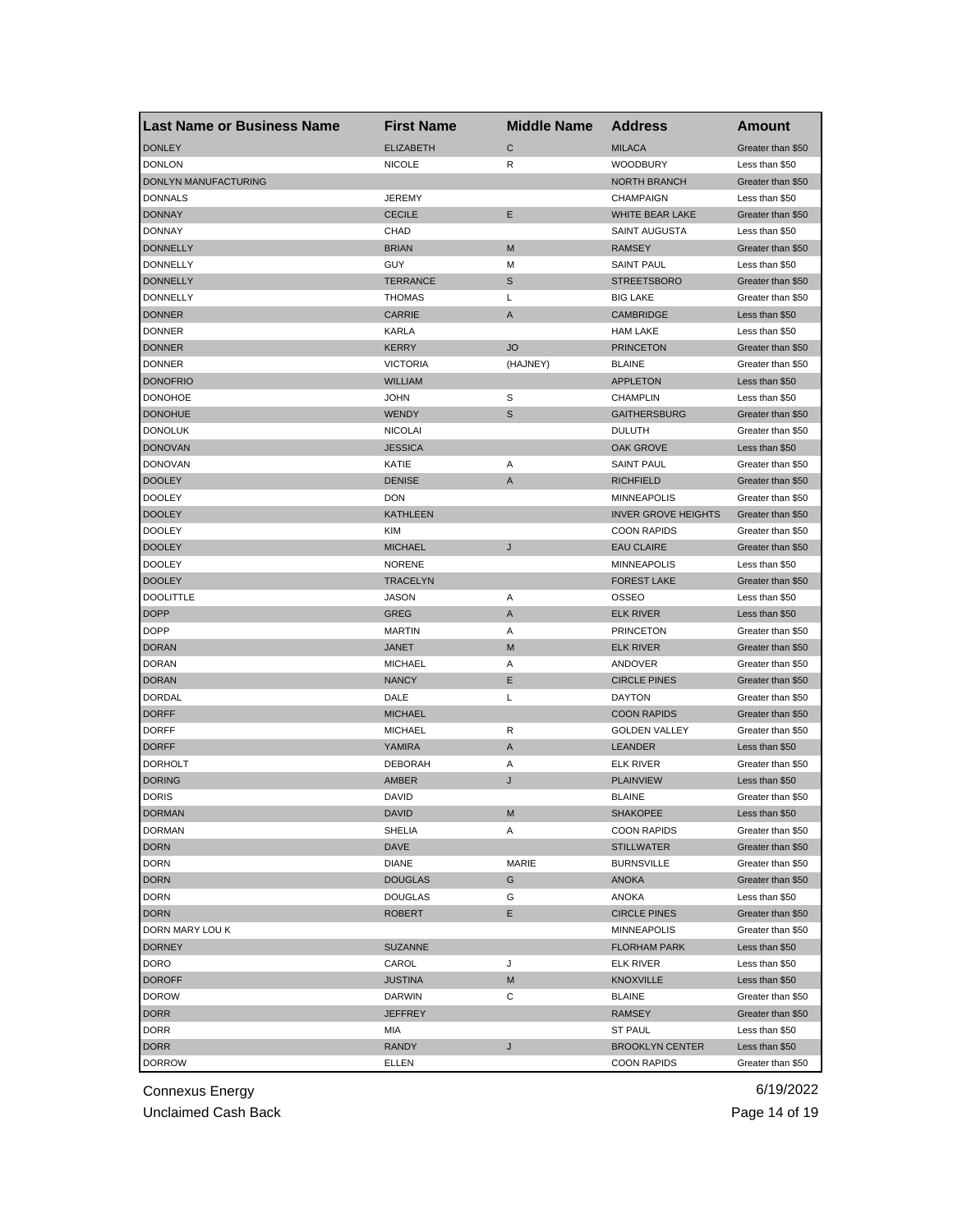| <b>Last Name or Business Name</b> | <b>First Name</b> | <b>Middle Name</b> | <b>Address</b>             | Amount            |
|-----------------------------------|-------------------|--------------------|----------------------------|-------------------|
| <b>DONLEY</b>                     | <b>ELIZABETH</b>  | $\mathsf{C}$       | <b>MILACA</b>              | Greater than \$50 |
| <b>DONLON</b>                     | <b>NICOLE</b>     | R                  | <b>WOODBURY</b>            | Less than \$50    |
| DONLYN MANUFACTURING              |                   |                    | <b>NORTH BRANCH</b>        | Greater than \$50 |
| <b>DONNALS</b>                    | <b>JEREMY</b>     |                    | <b>CHAMPAIGN</b>           | Less than \$50    |
| <b>DONNAY</b>                     | <b>CECILE</b>     | Ε                  | WHITE BEAR LAKE            | Greater than \$50 |
| <b>DONNAY</b>                     | CHAD              |                    | SAINT AUGUSTA              | Less than \$50    |
| <b>DONNELLY</b>                   | <b>BRIAN</b>      | M                  | <b>RAMSEY</b>              | Greater than \$50 |
| <b>DONNELLY</b>                   | GUY               | М                  | <b>SAINT PAUL</b>          | Less than \$50    |
| <b>DONNELLY</b>                   | TERRANCE          | S                  | <b>STREETSBORO</b>         | Greater than \$50 |
| <b>DONNELLY</b>                   | THOMAS            | Г                  | <b>BIG LAKE</b>            | Greater than \$50 |
| <b>DONNER</b>                     | <b>CARRIE</b>     | A                  | <b>CAMBRIDGE</b>           | Less than \$50    |
| <b>DONNER</b>                     | KARLA             |                    | <b>HAM LAKE</b>            | Less than \$50    |
| <b>DONNER</b>                     | KERRY             | <b>JO</b>          | <b>PRINCETON</b>           | Greater than \$50 |
| <b>DONNER</b>                     | <b>VICTORIA</b>   | (HAJNEY)           | <b>BLAINE</b>              | Greater than \$50 |
| <b>DONOFRIO</b>                   | <b>WILLIAM</b>    |                    | <b>APPLETON</b>            | Less than \$50    |
| <b>DONOHOE</b>                    | JOHN              | S                  | <b>CHAMPLIN</b>            | Less than \$50    |
| <b>DONOHUE</b>                    | <b>WENDY</b>      | S                  | <b>GAITHERSBURG</b>        | Greater than \$50 |
| <b>DONOLUK</b>                    | <b>NICOLAI</b>    |                    | <b>DULUTH</b>              | Greater than \$50 |
| <b>DONOVAN</b>                    | JESSICA           |                    | OAK GROVE                  | Less than \$50    |
| <b>DONOVAN</b>                    | KATIE             | Α                  | <b>SAINT PAUL</b>          | Greater than \$50 |
| <b>DOOLEY</b>                     | <b>DENISE</b>     | A                  | <b>RICHFIELD</b>           | Greater than \$50 |
| <b>DOOLEY</b>                     | <b>DON</b>        |                    | <b>MINNEAPOLIS</b>         | Greater than \$50 |
| <b>DOOLEY</b>                     | KATHLEEN          |                    | <b>INVER GROVE HEIGHTS</b> | Greater than \$50 |
| <b>DOOLEY</b>                     | <b>KIM</b>        |                    | <b>COON RAPIDS</b>         | Greater than \$50 |
| <b>DOOLEY</b>                     | <b>MICHAEL</b>    | J                  | <b>EAU CLAIRE</b>          | Greater than \$50 |
| <b>DOOLEY</b>                     | <b>NORENE</b>     |                    | <b>MINNEAPOLIS</b>         | Less than \$50    |
| <b>DOOLEY</b>                     | <b>TRACELYN</b>   |                    | <b>FOREST LAKE</b>         | Greater than \$50 |
| <b>DOOLITTLE</b>                  | JASON             | Α                  | OSSEO                      | Less than \$50    |
| <b>DOPP</b>                       | GREG              | A                  | <b>ELK RIVER</b>           | Less than \$50    |
| <b>DOPP</b>                       | <b>MARTIN</b>     | Α                  | <b>PRINCETON</b>           | Greater than \$50 |
| <b>DORAN</b>                      | JANET             | M                  | <b>ELK RIVER</b>           | Greater than \$50 |
| <b>DORAN</b>                      | <b>MICHAEL</b>    | Α                  | ANDOVER                    | Greater than \$50 |
| <b>DORAN</b>                      | <b>NANCY</b>      | Е                  | <b>CIRCLE PINES</b>        | Greater than \$50 |
| DORDAL                            | DALE              | L                  | <b>DAYTON</b>              | Greater than \$50 |
| <b>DORFF</b>                      | MICHAEL           |                    | <b>COON RAPIDS</b>         | Greater than \$50 |
| <b>DORFF</b>                      | <b>MICHAEL</b>    | R                  | <b>GOLDEN VALLEY</b>       | Greater than \$50 |
| <b>DORFF</b>                      | YAMIRA            | A                  | <b>LEANDER</b>             | Less than \$50    |
| <b>DORHOLT</b>                    | <b>DEBORAH</b>    | Α                  | ELK RIVER                  | Greater than \$50 |
| <b>DORING</b>                     | AMBER             | J                  | <b>PLAINVIEW</b>           | Less than \$50    |
| <b>DORIS</b>                      | DAVID             |                    | <b>BLAINE</b>              | Greater than \$50 |
| DORMAN                            | DAVID             | M                  | <b>SHAKOPEE</b>            | Less than \$50    |
| <b>DORMAN</b>                     | <b>SHELIA</b>     | Α                  | <b>COON RAPIDS</b>         | Greater than \$50 |
| <b>DORN</b>                       | <b>DAVE</b>       |                    | <b>STILLWATER</b>          | Greater than \$50 |
| <b>DORN</b>                       | <b>DIANE</b>      | MARIE              | <b>BURNSVILLE</b>          | Greater than \$50 |
| <b>DORN</b>                       | <b>DOUGLAS</b>    | G                  | <b>ANOKA</b>               | Greater than \$50 |
| <b>DORN</b>                       | DOUGLAS           | G                  | ANOKA                      | Less than \$50    |
| <b>DORN</b>                       | <b>ROBERT</b>     | Е                  | <b>CIRCLE PINES</b>        | Greater than \$50 |
| DORN MARY LOU K                   |                   |                    | MINNEAPOLIS                | Greater than \$50 |
| <b>DORNEY</b>                     | <b>SUZANNE</b>    |                    | <b>FLORHAM PARK</b>        | Less than \$50    |
| DORO                              | CAROL             | J                  | <b>ELK RIVER</b>           | Less than \$50    |
| <b>DOROFF</b>                     | JUSTINA           | M                  | KNOXVILLE                  | Less than \$50    |
| <b>DOROW</b>                      | <b>DARWIN</b>     | С                  | <b>BLAINE</b>              | Greater than \$50 |
| <b>DORR</b>                       | JEFFREY           |                    | RAMSEY                     | Greater than \$50 |
| DORR                              | MIA               |                    | <b>ST PAUL</b>             | Less than \$50    |
| <b>DORR</b>                       | <b>RANDY</b>      | J                  | <b>BROOKLYN CENTER</b>     | Less than \$50    |
| <b>DORROW</b>                     | ELLEN             |                    | <b>COON RAPIDS</b>         | Greater than \$50 |

Unclaimed Cash Back **Page 14 of 19**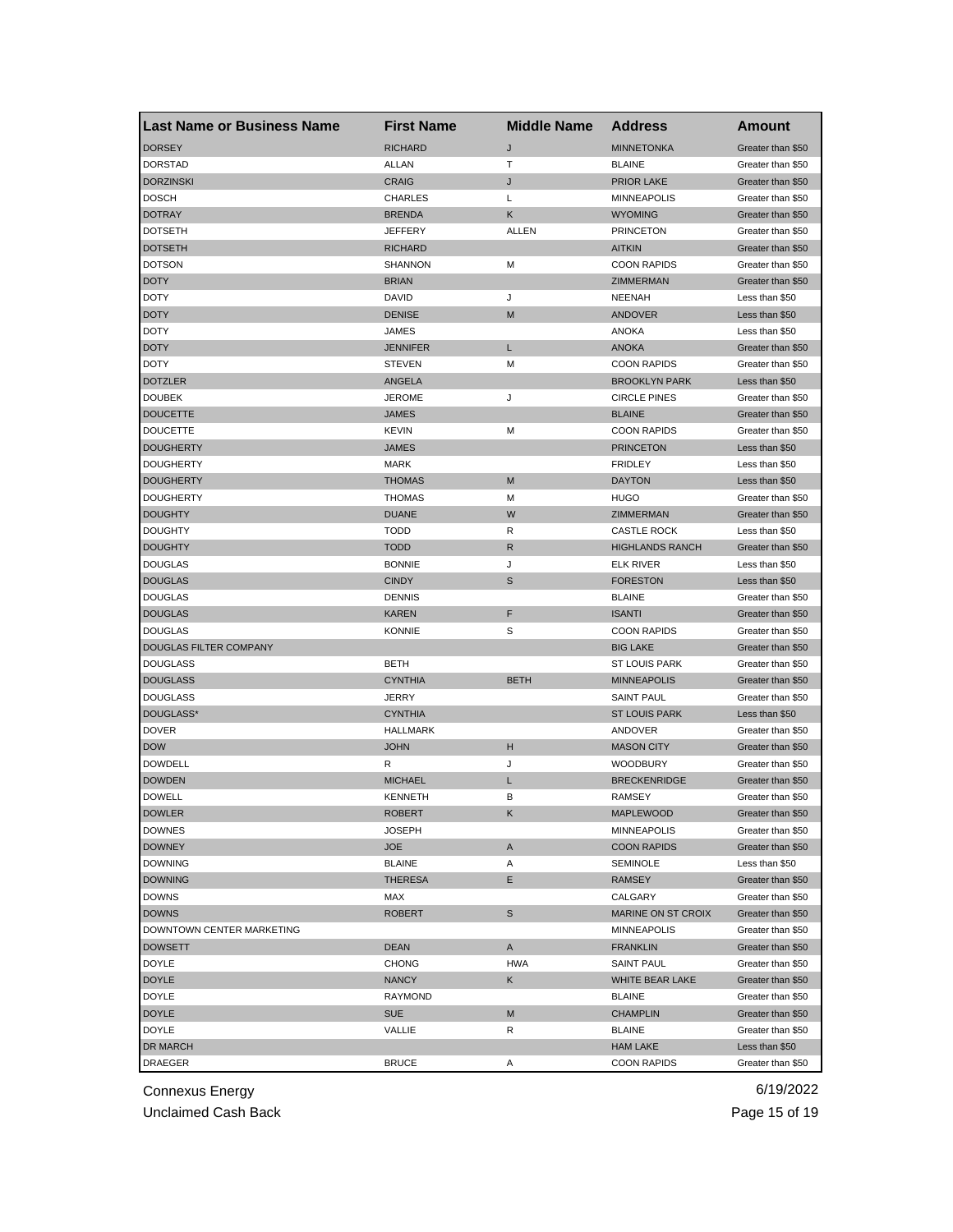| <b>Last Name or Business Name</b> | <b>First Name</b> | <b>Middle Name</b> | <b>Address</b>         | Amount            |
|-----------------------------------|-------------------|--------------------|------------------------|-------------------|
| <b>DORSEY</b>                     | <b>RICHARD</b>    | J                  | <b>MINNETONKA</b>      | Greater than \$50 |
| <b>DORSTAD</b>                    | ALLAN             | т                  | <b>BLAINE</b>          | Greater than \$50 |
| <b>DORZINSKI</b>                  | <b>CRAIG</b>      | J                  | <b>PRIOR LAKE</b>      | Greater than \$50 |
| <b>DOSCH</b>                      | <b>CHARLES</b>    | Г                  | <b>MINNEAPOLIS</b>     | Greater than \$50 |
| <b>DOTRAY</b>                     | <b>BRENDA</b>     | Κ                  | <b>WYOMING</b>         | Greater than \$50 |
| <b>DOTSETH</b>                    | JEFFERY           | ALLEN              | <b>PRINCETON</b>       | Greater than \$50 |
| <b>DOTSETH</b>                    | <b>RICHARD</b>    |                    | <b>AITKIN</b>          | Greater than \$50 |
| <b>DOTSON</b>                     | <b>SHANNON</b>    | M                  | <b>COON RAPIDS</b>     | Greater than \$50 |
| <b>DOTY</b>                       | <b>BRIAN</b>      |                    | ZIMMERMAN              | Greater than \$50 |
| DOTY                              | DAVID             | J                  | <b>NEENAH</b>          | Less than \$50    |
| <b>DOTY</b>                       | <b>DENISE</b>     | M                  | ANDOVER                | Less than \$50    |
| <b>DOTY</b>                       | JAMES             |                    | <b>ANOKA</b>           | Less than \$50    |
| <b>DOTY</b>                       | <b>JENNIFER</b>   | L                  | <b>ANOKA</b>           | Greater than \$50 |
| <b>DOTY</b>                       | <b>STEVEN</b>     | M                  | <b>COON RAPIDS</b>     | Greater than \$50 |
| <b>DOTZLER</b>                    | <b>ANGELA</b>     |                    | <b>BROOKLYN PARK</b>   | Less than \$50    |
| <b>DOUBEK</b>                     | JEROME            | J                  | <b>CIRCLE PINES</b>    | Greater than \$50 |
| <b>DOUCETTE</b>                   | JAMES             |                    | <b>BLAINE</b>          | Greater than \$50 |
| <b>DOUCETTE</b>                   | KEVIN             | м                  | <b>COON RAPIDS</b>     | Greater than \$50 |
| <b>DOUGHERTY</b>                  | JAMES             |                    | <b>PRINCETON</b>       | Less than \$50    |
| <b>DOUGHERTY</b>                  | <b>MARK</b>       |                    | <b>FRIDLEY</b>         | Less than \$50    |
| <b>DOUGHERTY</b>                  | <b>THOMAS</b>     | M                  | <b>DAYTON</b>          | Less than \$50    |
| <b>DOUGHERTY</b>                  | <b>THOMAS</b>     | М                  | <b>HUGO</b>            | Greater than \$50 |
| <b>DOUGHTY</b>                    | <b>DUANE</b>      | W                  | ZIMMERMAN              | Greater than \$50 |
| <b>DOUGHTY</b>                    | <b>TODD</b>       | R                  | <b>CASTLE ROCK</b>     | Less than \$50    |
| <b>DOUGHTY</b>                    | <b>TODD</b>       | R                  | <b>HIGHLANDS RANCH</b> | Greater than \$50 |
| <b>DOUGLAS</b>                    | <b>BONNIE</b>     | J                  | <b>ELK RIVER</b>       | Less than \$50    |
| <b>DOUGLAS</b>                    | <b>CINDY</b>      | S                  | <b>FORESTON</b>        | Less than \$50    |
| <b>DOUGLAS</b>                    | <b>DENNIS</b>     |                    | <b>BLAINE</b>          | Greater than \$50 |
| <b>DOUGLAS</b>                    | KAREN             | F                  | <b>ISANTI</b>          | Greater than \$50 |
| <b>DOUGLAS</b>                    | <b>KONNIE</b>     | S                  | <b>COON RAPIDS</b>     | Greater than \$50 |
| DOUGLAS FILTER COMPANY            |                   |                    | <b>BIG LAKE</b>        | Greater than \$50 |
| <b>DOUGLASS</b>                   | BETH              |                    | <b>ST LOUIS PARK</b>   | Greater than \$50 |
| <b>DOUGLASS</b>                   | <b>CYNTHIA</b>    | <b>BETH</b>        | <b>MINNEAPOLIS</b>     | Greater than \$50 |
| <b>DOUGLASS</b>                   | JERRY             |                    | SAINT PAUL             | Greater than \$50 |
| DOUGLASS*                         | <b>CYNTHIA</b>    |                    | <b>ST LOUIS PARK</b>   | Less than \$50    |
| <b>DOVER</b>                      | <b>HALLMARK</b>   |                    | ANDOVER                | Greater than \$50 |
| <b>DOW</b>                        | <b>JOHN</b>       | н                  | <b>MASON CITY</b>      | Greater than \$50 |
| <b>DOWDELL</b>                    | R                 | J                  | <b>WOODBURY</b>        | Greater than \$50 |
| <b>DOWDEN</b>                     | <b>MICHAEL</b>    | L                  | <b>BRECKENRIDGE</b>    | Greater than \$50 |
| <b>DOWELL</b>                     | <b>KENNETH</b>    | B                  | <b>RAMSEY</b>          | Greater than \$50 |
| <b>DOWLER</b>                     | ROBERT            | K,                 | MAPLEWOOD              | Greater than \$50 |
| <b>DOWNES</b>                     | JOSEPH            |                    | <b>MINNEAPOLIS</b>     | Greater than \$50 |
| <b>DOWNEY</b>                     | <b>JOE</b>        | A                  | <b>COON RAPIDS</b>     | Greater than \$50 |
| <b>DOWNING</b>                    | <b>BLAINE</b>     | Α                  | <b>SEMINOLE</b>        | Less than \$50    |
| <b>DOWNING</b>                    | THERESA           | Е                  | RAMSEY                 | Greater than \$50 |
| <b>DOWNS</b>                      | MAX               |                    | CALGARY                | Greater than \$50 |
| <b>DOWNS</b>                      | <b>ROBERT</b>     | S                  | MARINE ON ST CROIX     | Greater than \$50 |
| DOWNTOWN CENTER MARKETING         |                   |                    | MINNEAPOLIS            | Greater than \$50 |
| <b>DOWSETT</b>                    | DEAN              | A                  | <b>FRANKLIN</b>        | Greater than \$50 |
| DOYLE                             | <b>CHONG</b>      | <b>HWA</b>         | <b>SAINT PAUL</b>      | Greater than \$50 |
| <b>DOYLE</b>                      | <b>NANCY</b>      | Κ                  | WHITE BEAR LAKE        | Greater than \$50 |
| <b>DOYLE</b>                      | RAYMOND           |                    | <b>BLAINE</b>          | Greater than \$50 |
| <b>DOYLE</b>                      | SUE               | M                  | <b>CHAMPLIN</b>        | Greater than \$50 |
| <b>DOYLE</b>                      | VALLIE            | R                  | <b>BLAINE</b>          | Greater than \$50 |
| DR MARCH                          |                   |                    | <b>HAM LAKE</b>        | Less than \$50    |
| DRAEGER                           | BRUCE             | Α                  | <b>COON RAPIDS</b>     | Greater than \$50 |
|                                   |                   |                    |                        |                   |

Unclaimed Cash Back **Page 15 of 19**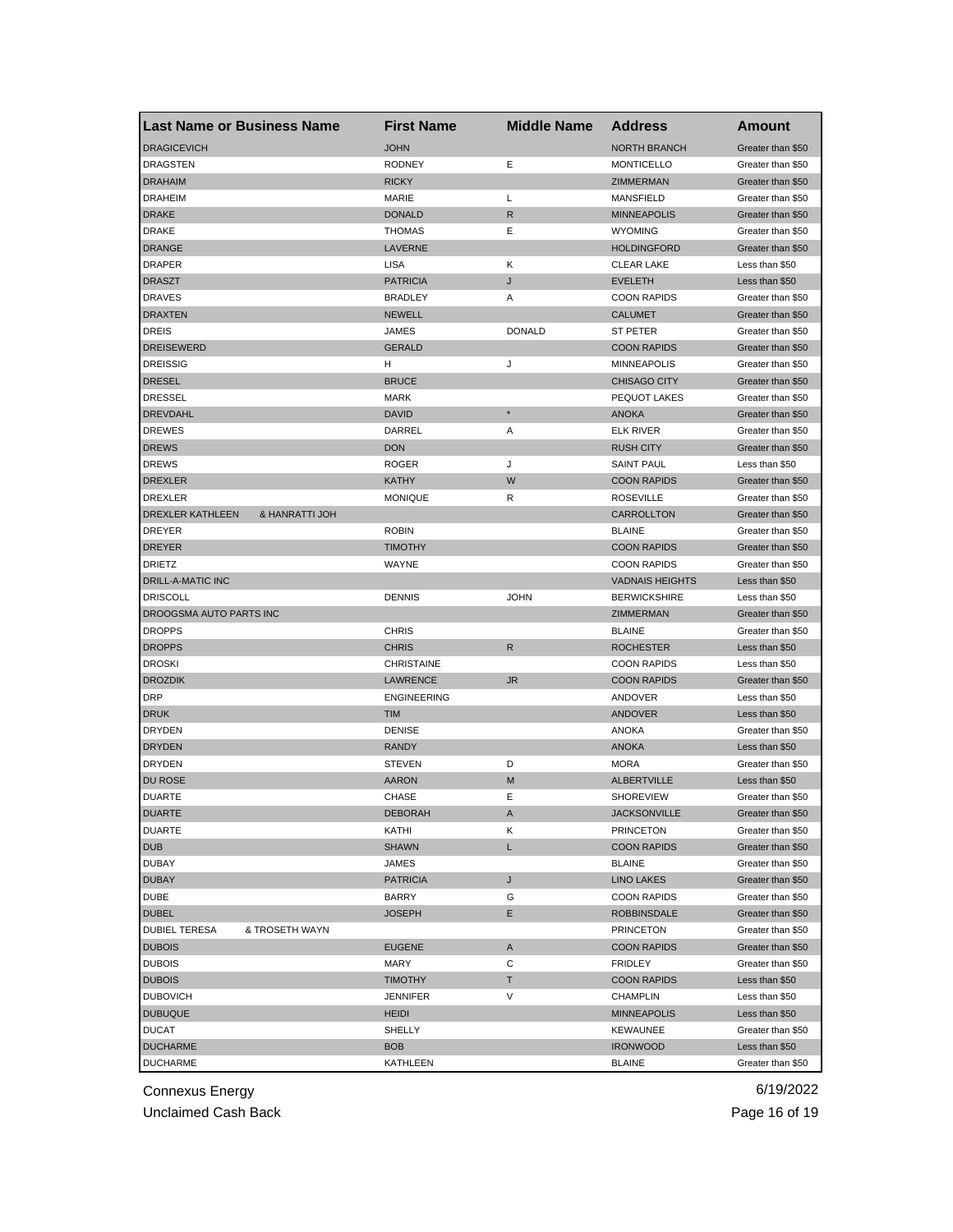| <b>Last Name or Business Name</b>      | <b>First Name</b>  | <b>Middle Name</b> | <b>Address</b>         | Amount                              |
|----------------------------------------|--------------------|--------------------|------------------------|-------------------------------------|
| <b>DRAGICEVICH</b>                     | <b>JOHN</b>        |                    | <b>NORTH BRANCH</b>    | Greater than \$50                   |
| <b>DRAGSTEN</b>                        | <b>RODNEY</b>      | Ε                  | <b>MONTICELLO</b>      | Greater than \$50                   |
| <b>DRAHAIM</b>                         | <b>RICKY</b>       |                    | ZIMMERMAN              | Greater than \$50                   |
| <b>DRAHEIM</b>                         | MARIE              | L                  | MANSFIELD              | Greater than \$50                   |
| <b>DRAKE</b>                           | <b>DONALD</b>      | R                  | <b>MINNEAPOLIS</b>     | Greater than \$50                   |
| <b>DRAKE</b>                           | <b>THOMAS</b>      | Ε                  | <b>WYOMING</b>         | Greater than \$50                   |
| <b>DRANGE</b>                          | LAVERNE            |                    | <b>HOLDINGFORD</b>     | Greater than \$50                   |
| <b>DRAPER</b>                          | LISA               | Κ                  | <b>CLEAR LAKE</b>      | Less than \$50                      |
| <b>DRASZT</b>                          | <b>PATRICIA</b>    | J                  | <b>EVELETH</b>         | Less than \$50                      |
| <b>DRAVES</b>                          | <b>BRADLEY</b>     | Α                  | <b>COON RAPIDS</b>     | Greater than \$50                   |
| <b>DRAXTEN</b>                         | <b>NEWELL</b>      |                    | <b>CALUMET</b>         | Greater than \$50                   |
| DREIS                                  | JAMES              | <b>DONALD</b>      | ST PETER               | Greater than \$50                   |
| <b>DREISEWERD</b>                      | <b>GERALD</b>      |                    | <b>COON RAPIDS</b>     | Greater than \$50                   |
| <b>DREISSIG</b>                        | н                  | J                  | <b>MINNEAPOLIS</b>     | Greater than \$50                   |
| <b>DRESEL</b>                          | <b>BRUCE</b>       |                    | <b>CHISAGO CITY</b>    | Greater than \$50                   |
| <b>DRESSEL</b>                         | <b>MARK</b>        |                    | PEQUOT LAKES           | Greater than \$50                   |
| <b>DREVDAHL</b>                        | <b>DAVID</b>       | $\star$            | <b>ANOKA</b>           | Greater than \$50                   |
| <b>DREWES</b>                          | DARREL             | Α                  | <b>ELK RIVER</b>       | Greater than \$50                   |
| <b>DREWS</b>                           | <b>DON</b>         |                    | <b>RUSH CITY</b>       | Greater than \$50                   |
| <b>DREWS</b>                           | <b>ROGER</b>       | J                  | <b>SAINT PAUL</b>      | Less than \$50                      |
| <b>DREXLER</b>                         | <b>KATHY</b>       | W                  | <b>COON RAPIDS</b>     | Greater than \$50                   |
| <b>DREXLER</b>                         | <b>MONIQUE</b>     | R                  | <b>ROSEVILLE</b>       | Greater than \$50                   |
| DREXLER KATHLEEN<br>& HANRATTI JOH     |                    |                    | <b>CARROLLTON</b>      | Greater than \$50                   |
| <b>DREYER</b>                          | <b>ROBIN</b>       |                    | <b>BLAINE</b>          | Greater than \$50                   |
| <b>DREYER</b>                          | <b>TIMOTHY</b>     |                    | <b>COON RAPIDS</b>     | Greater than \$50                   |
| <b>DRIETZ</b>                          | WAYNE              |                    | <b>COON RAPIDS</b>     | Greater than \$50                   |
| <b>DRILL-A-MATIC INC</b>               |                    |                    | <b>VADNAIS HEIGHTS</b> | Less than \$50                      |
| <b>DRISCOLL</b>                        | <b>DENNIS</b>      | <b>JOHN</b>        | <b>BERWICKSHIRE</b>    | Less than \$50                      |
| DROOGSMA AUTO PARTS INC                |                    |                    | ZIMMERMAN              | Greater than \$50                   |
| <b>DROPPS</b>                          | <b>CHRIS</b>       |                    | <b>BLAINE</b>          | Greater than \$50                   |
| <b>DROPPS</b>                          | <b>CHRIS</b>       | R                  | <b>ROCHESTER</b>       | Less than \$50                      |
| <b>DROSKI</b>                          | <b>CHRISTAINE</b>  |                    | <b>COON RAPIDS</b>     | Less than \$50                      |
|                                        | <b>LAWRENCE</b>    | <b>JR</b>          | <b>COON RAPIDS</b>     |                                     |
| <b>DROZDIK</b><br><b>DRP</b>           | <b>ENGINEERING</b> |                    | ANDOVER                | Greater than \$50<br>Less than \$50 |
|                                        | <b>TIM</b>         |                    |                        |                                     |
| <b>DRUK</b>                            | <b>DENISE</b>      |                    | ANDOVER                | Less than \$50                      |
| <b>DRYDEN</b>                          |                    |                    | <b>ANOKA</b>           | Greater than \$50                   |
| <b>DRYDEN</b>                          | <b>RANDY</b>       |                    | <b>ANOKA</b>           | Less than \$50                      |
| <b>DRYDEN</b><br><b>DU ROSE</b>        | <b>STEVEN</b>      | D                  | <b>MORA</b>            | Greater than \$50                   |
|                                        | <b>AARON</b>       | M                  | <b>ALBERTVILLE</b>     | Less than \$50                      |
| <b>DUARTE</b>                          | CHASE              | Ε                  | <b>SHOREVIEW</b>       | Greater than \$50                   |
| <b>DUARTE</b><br><b>DUARTE</b>         | DEBORAH            | A                  | <b>JACKSONVILLE</b>    | Greater than \$50                   |
|                                        | KATHI              | Κ                  | <b>PRINCETON</b>       | Greater than \$50                   |
| <b>DUB</b>                             | <b>SHAWN</b>       | L                  | <b>COON RAPIDS</b>     | Greater than \$50                   |
| <b>DUBAY</b>                           | JAMES              |                    | <b>BLAINE</b>          | Greater than \$50                   |
| <b>DUBAY</b>                           | <b>PATRICIA</b>    | J                  | <b>LINO LAKES</b>      | Greater than \$50                   |
| DUBE                                   | BARRY              | G                  | <b>COON RAPIDS</b>     | Greater than \$50                   |
| <b>DUBEL</b>                           | <b>JOSEPH</b>      | Е                  | <b>ROBBINSDALE</b>     | Greater than \$50                   |
| <b>DUBIEL TERESA</b><br>& TROSETH WAYN |                    |                    | <b>PRINCETON</b>       | Greater than \$50                   |
| <b>DUBOIS</b>                          | <b>EUGENE</b>      | A                  | <b>COON RAPIDS</b>     | Greater than \$50                   |
| <b>DUBOIS</b>                          | MARY               | С                  | <b>FRIDLEY</b>         | Greater than \$50                   |
| <b>DUBOIS</b>                          | <b>TIMOTHY</b>     | т                  | <b>COON RAPIDS</b>     | Less than \$50                      |
| <b>DUBOVICH</b>                        | <b>JENNIFER</b>    | V                  | CHAMPLIN               | Less than \$50                      |
| <b>DUBUQUE</b>                         | <b>HEIDI</b>       |                    | <b>MINNEAPOLIS</b>     | Less than \$50                      |
| <b>DUCAT</b>                           | SHELLY             |                    | <b>KEWAUNEE</b>        | Greater than \$50                   |
| <b>DUCHARME</b>                        | <b>BOB</b>         |                    | <b>IRONWOOD</b>        | Less than \$50                      |
| <b>DUCHARME</b>                        | KATHLEEN           |                    | BLAINE                 | Greater than \$50                   |

Unclaimed Cash Back **Page 16 of 19**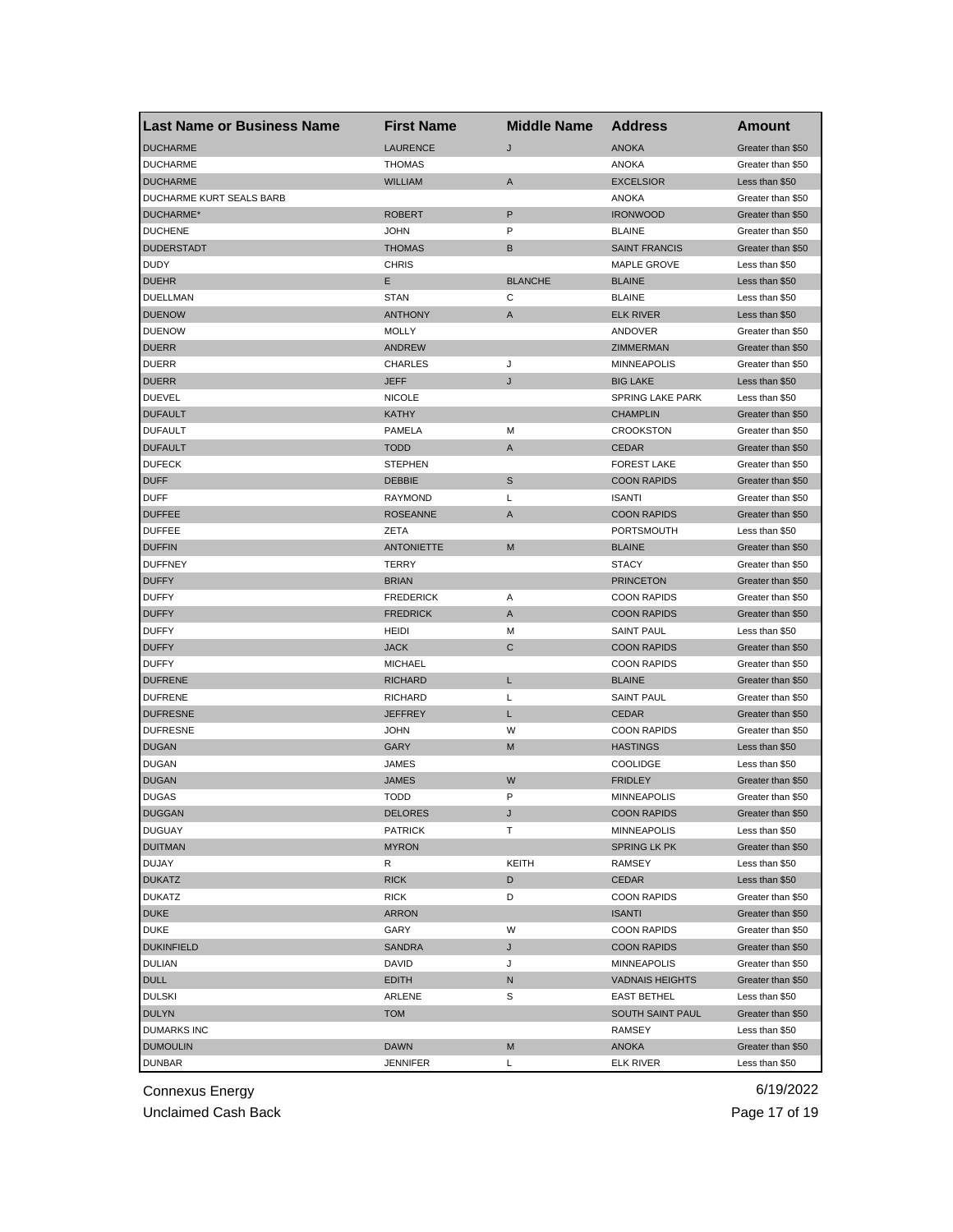| <b>Last Name or Business Name</b> | <b>First Name</b>          | <b>Middle Name</b> | <b>Address</b>          | <b>Amount</b>     |
|-----------------------------------|----------------------------|--------------------|-------------------------|-------------------|
| <b>DUCHARME</b>                   | <b>LAURENCE</b>            | J                  | <b>ANOKA</b>            | Greater than \$50 |
| <b>DUCHARME</b>                   | <b>THOMAS</b>              |                    | <b>ANOKA</b>            | Greater than \$50 |
| <b>DUCHARME</b>                   | <b>WILLIAM</b>             | Α                  | <b>EXCELSIOR</b>        | Less than \$50    |
| DUCHARME KURT SEALS BARB          |                            |                    | <b>ANOKA</b>            | Greater than \$50 |
| DUCHARME*                         | <b>ROBERT</b>              | P                  | <b>IRONWOOD</b>         | Greater than \$50 |
| <b>DUCHENE</b>                    | <b>JOHN</b>                | P                  | <b>BLAINE</b>           | Greater than \$50 |
| <b>DUDERSTADT</b>                 | <b>THOMAS</b>              | B                  | <b>SAINT FRANCIS</b>    | Greater than \$50 |
| <b>DUDY</b>                       | <b>CHRIS</b>               |                    | MAPLE GROVE             | Less than \$50    |
| <b>DUEHR</b>                      | Е                          | <b>BLANCHE</b>     | <b>BLAINE</b>           | Less than \$50    |
| DUELLMAN                          | <b>STAN</b>                | C                  | <b>BLAINE</b>           | Less than \$50    |
| <b>DUENOW</b>                     | <b>ANTHONY</b>             | A                  | <b>ELK RIVER</b>        | Less than \$50    |
| <b>DUENOW</b>                     | <b>MOLLY</b>               |                    | ANDOVER                 | Greater than \$50 |
| <b>DUERR</b>                      | <b>ANDREW</b>              |                    | ZIMMERMAN               | Greater than \$50 |
| <b>DUERR</b>                      | CHARLES                    | J                  | <b>MINNEAPOLIS</b>      | Greater than \$50 |
| <b>DUERR</b>                      | <b>JEFF</b>                | J                  | <b>BIG LAKE</b>         | Less than \$50    |
| <b>DUEVEL</b>                     | <b>NICOLE</b>              |                    | <b>SPRING LAKE PARK</b> | Less than \$50    |
| <b>DUFAULT</b>                    | <b>KATHY</b>               |                    | <b>CHAMPLIN</b>         | Greater than \$50 |
| <b>DUFAULT</b>                    | PAMELA                     | M                  | <b>CROOKSTON</b>        | Greater than \$50 |
| <b>DUFAULT</b>                    | <b>TODD</b>                | A                  | <b>CEDAR</b>            | Greater than \$50 |
| <b>DUFECK</b>                     | <b>STEPHEN</b>             |                    | <b>FOREST LAKE</b>      | Greater than \$50 |
| <b>DUFF</b>                       | <b>DEBBIE</b>              | S                  | <b>COON RAPIDS</b>      | Greater than \$50 |
| <b>DUFF</b>                       | <b>RAYMOND</b>             | L                  | <b>ISANTI</b>           | Greater than \$50 |
| <b>DUFFEE</b>                     | <b>ROSEANNE</b>            | A                  | <b>COON RAPIDS</b>      | Greater than \$50 |
| <b>DUFFEE</b>                     | ZETA                       |                    | PORTSMOUTH              | Less than \$50    |
| <b>DUFFIN</b>                     | <b>ANTONIETTE</b>          | M                  | <b>BLAINE</b>           | Greater than \$50 |
| <b>DUFFNEY</b>                    | TERRY                      |                    | <b>STACY</b>            | Greater than \$50 |
| <b>DUFFY</b>                      | <b>BRIAN</b>               |                    | <b>PRINCETON</b>        | Greater than \$50 |
| <b>DUFFY</b>                      | <b>FREDERICK</b>           | Α                  | <b>COON RAPIDS</b>      | Greater than \$50 |
| <b>DUFFY</b>                      | <b>FREDRICK</b>            | A                  | <b>COON RAPIDS</b>      | Greater than \$50 |
| <b>DUFFY</b>                      | <b>HEIDI</b>               | м                  | <b>SAINT PAUL</b>       | Less than \$50    |
| <b>DUFFY</b>                      | <b>JACK</b>                | C                  | <b>COON RAPIDS</b>      | Greater than \$50 |
| <b>DUFFY</b>                      | <b>MICHAEL</b>             |                    | <b>COON RAPIDS</b>      | Greater than \$50 |
| <b>DUFRENE</b>                    | <b>RICHARD</b>             | L                  | <b>BLAINE</b>           | Greater than \$50 |
| <b>DUFRENE</b>                    | <b>RICHARD</b>             | Г                  | <b>SAINT PAUL</b>       | Greater than \$50 |
| <b>DUFRESNE</b>                   | <b>JEFFREY</b>             | L                  | <b>CEDAR</b>            | Greater than \$50 |
| <b>DUFRESNE</b>                   | <b>JOHN</b>                | W                  | <b>COON RAPIDS</b>      | Greater than \$50 |
| <b>DUGAN</b>                      | GARY                       | M                  | <b>HASTINGS</b>         | Less than \$50    |
| <b>DUGAN</b>                      | JAMES                      |                    | <b>COOLIDGE</b>         | Less than \$50    |
| <b>DUGAN</b>                      | <b>JAMES</b>               | W                  | <b>FRIDLEY</b>          | Greater than \$50 |
| <b>DUGAS</b>                      | <b>TODD</b>                | P                  | <b>MINNEAPOLIS</b>      | Greater than \$50 |
| <b>DUGGAN</b>                     |                            |                    | <b>COON RAPIDS</b>      | Greater than \$50 |
| <b>DUGUAY</b>                     | DELORES<br><b>PATRICK</b>  | т                  | MINNEAPOLIS             | Less than \$50    |
| <b>DUITMAN</b>                    | <b>MYRON</b>               |                    | SPRING LK PK            | Greater than \$50 |
| DUJAY                             | R                          | KEITH              | RAMSEY                  | Less than \$50    |
| <b>DUKATZ</b>                     |                            | D                  | CEDAR                   | Less than \$50    |
| <b>DUKATZ</b>                     | <b>RICK</b><br><b>RICK</b> | D                  | <b>COON RAPIDS</b>      | Greater than \$50 |
|                                   |                            |                    |                         |                   |
| <b>DUKE</b>                       | <b>ARRON</b>               |                    | <b>ISANTI</b>           | Greater than \$50 |
| <b>DUKE</b>                       | GARY                       | W                  | <b>COON RAPIDS</b>      | Greater than \$50 |
| <b>DUKINFIELD</b>                 | <b>SANDRA</b>              | J                  | <b>COON RAPIDS</b>      | Greater than \$50 |
| <b>DULIAN</b>                     | DAVID                      | J                  | MINNEAPOLIS             | Greater than \$50 |
| <b>DULL</b>                       | <b>EDITH</b>               | N                  | <b>VADNAIS HEIGHTS</b>  | Greater than \$50 |
| <b>DULSKI</b>                     | ARLENE                     | S                  | <b>EAST BETHEL</b>      | Less than \$50    |
| <b>DULYN</b>                      | <b>TOM</b>                 |                    | SOUTH SAINT PAUL        | Greater than \$50 |
| <b>DUMARKS INC</b>                |                            |                    | RAMSEY                  | Less than \$50    |
| <b>DUMOULIN</b>                   | <b>DAWN</b>                | M                  | ANOKA                   | Greater than \$50 |
| <b>DUNBAR</b>                     | <b>JENNIFER</b>            | L                  | <b>ELK RIVER</b>        | Less than \$50    |

Unclaimed Cash Back **Page 17 of 19**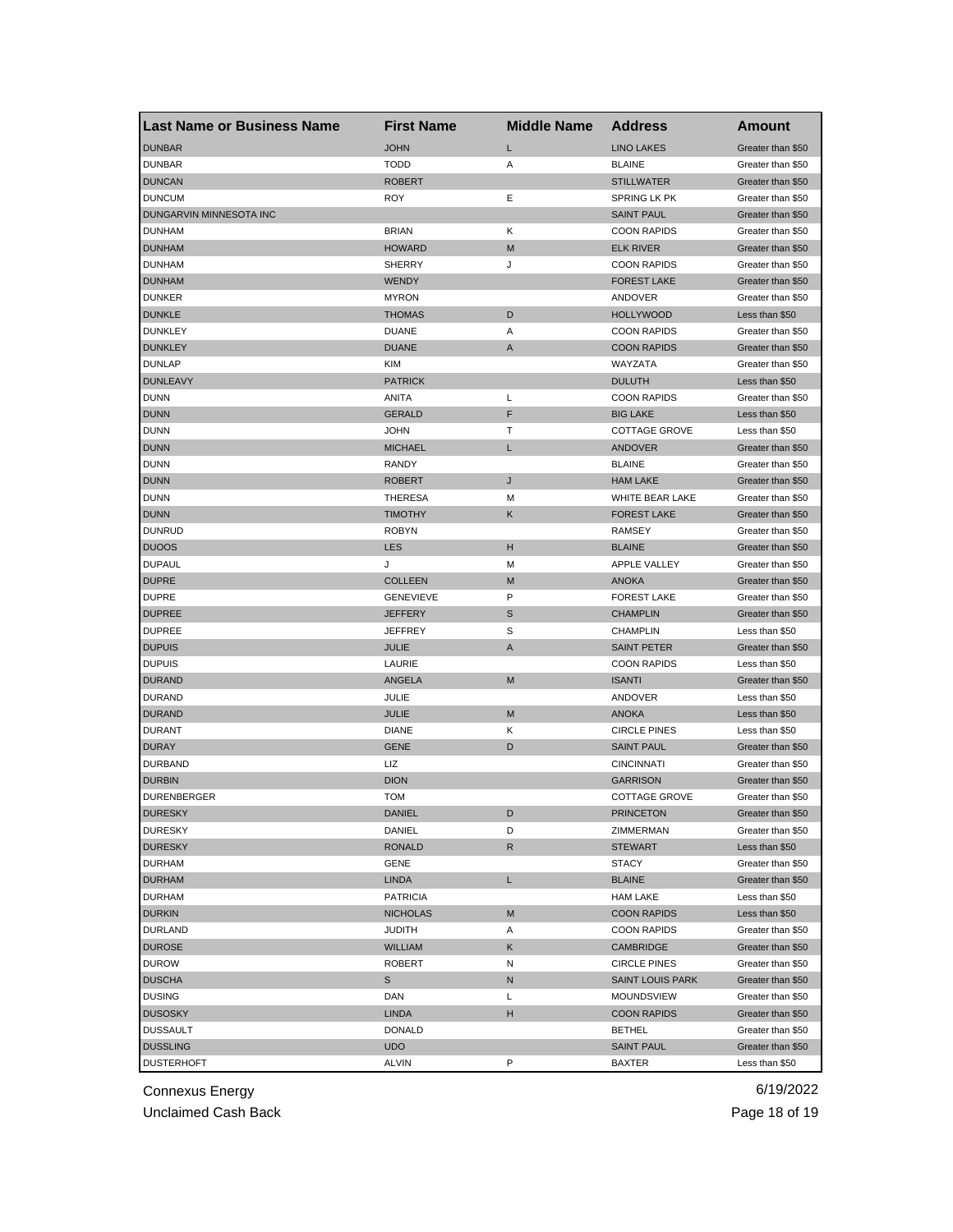| <b>Last Name or Business Name</b> | <b>First Name</b> | <b>Middle Name</b> | <b>Address</b>          | Amount            |
|-----------------------------------|-------------------|--------------------|-------------------------|-------------------|
| <b>DUNBAR</b>                     | <b>JOHN</b>       | L                  | <b>LINO LAKES</b>       | Greater than \$50 |
| <b>DUNBAR</b>                     | <b>TODD</b>       | Α                  | <b>BLAINE</b>           | Greater than \$50 |
| <b>DUNCAN</b>                     | <b>ROBERT</b>     |                    | <b>STILLWATER</b>       | Greater than \$50 |
| <b>DUNCUM</b>                     | <b>ROY</b>        | Ε                  | <b>SPRING LK PK</b>     | Greater than \$50 |
| DUNGARVIN MINNESOTA INC           |                   |                    | <b>SAINT PAUL</b>       | Greater than \$50 |
| <b>DUNHAM</b>                     | <b>BRIAN</b>      | Κ                  | <b>COON RAPIDS</b>      | Greater than \$50 |
| <b>DUNHAM</b>                     | <b>HOWARD</b>     | M                  | <b>ELK RIVER</b>        | Greater than \$50 |
| <b>DUNHAM</b>                     | <b>SHERRY</b>     | J                  | <b>COON RAPIDS</b>      | Greater than \$50 |
| <b>DUNHAM</b>                     | <b>WENDY</b>      |                    | <b>FOREST LAKE</b>      | Greater than \$50 |
| <b>DUNKER</b>                     | <b>MYRON</b>      |                    | ANDOVER                 | Greater than \$50 |
| <b>DUNKLE</b>                     | <b>THOMAS</b>     | D                  | <b>HOLLYWOOD</b>        | Less than \$50    |
| <b>DUNKLEY</b>                    | <b>DUANE</b>      | Α                  | <b>COON RAPIDS</b>      | Greater than \$50 |
| <b>DUNKLEY</b>                    | <b>DUANE</b>      | A                  | <b>COON RAPIDS</b>      | Greater than \$50 |
| <b>DUNLAP</b>                     | KIM               |                    | WAYZATA                 | Greater than \$50 |
| <b>DUNLEAVY</b>                   | <b>PATRICK</b>    |                    | <b>DULUTH</b>           | Less than \$50    |
| <b>DUNN</b>                       | ANITA             | L                  | <b>COON RAPIDS</b>      | Greater than \$50 |
| <b>DUNN</b>                       | <b>GERALD</b>     | F                  | <b>BIG LAKE</b>         | Less than \$50    |
| <b>DUNN</b>                       | <b>JOHN</b>       | т                  | <b>COTTAGE GROVE</b>    | Less than \$50    |
| <b>DUNN</b>                       | <b>MICHAEL</b>    | L                  | ANDOVER                 | Greater than \$50 |
| <b>DUNN</b>                       | RANDY             |                    | <b>BLAINE</b>           | Greater than \$50 |
| <b>DUNN</b>                       | <b>ROBERT</b>     | J                  | <b>HAM LAKE</b>         | Greater than \$50 |
| <b>DUNN</b>                       | <b>THERESA</b>    | М                  | WHITE BEAR LAKE         | Greater than \$50 |
| <b>DUNN</b>                       | <b>TIMOTHY</b>    | Κ                  | <b>FOREST LAKE</b>      | Greater than \$50 |
| <b>DUNRUD</b>                     | <b>ROBYN</b>      |                    | RAMSEY                  | Greater than \$50 |
| <b>DUOOS</b>                      | <b>LES</b>        | н                  | <b>BLAINE</b>           | Greater than \$50 |
| <b>DUPAUL</b>                     | J                 | м                  | APPLE VALLEY            | Greater than \$50 |
| <b>DUPRE</b>                      | <b>COLLEEN</b>    | M                  | <b>ANOKA</b>            | Greater than \$50 |
| <b>DUPRE</b>                      | <b>GENEVIEVE</b>  | P                  | <b>FOREST LAKE</b>      | Greater than \$50 |
| <b>DUPREE</b>                     | <b>JEFFERY</b>    | S                  | <b>CHAMPLIN</b>         |                   |
| <b>DUPREE</b>                     |                   | S                  | <b>CHAMPLIN</b>         | Greater than \$50 |
|                                   | <b>JEFFREY</b>    |                    |                         | Less than \$50    |
| <b>DUPUIS</b>                     | <b>JULIE</b>      | A                  | <b>SAINT PETER</b>      | Greater than \$50 |
| <b>DUPUIS</b>                     | LAURIE            |                    | <b>COON RAPIDS</b>      | Less than \$50    |
| <b>DURAND</b>                     | ANGELA            | M                  | <b>ISANTI</b>           | Greater than \$50 |
| <b>DURAND</b>                     | JULIE             |                    | ANDOVER                 | Less than \$50    |
| <b>DURAND</b>                     | JULIE             | M                  | <b>ANOKA</b>            | Less than \$50    |
| <b>DURANT</b>                     | <b>DIANE</b>      | Κ                  | <b>CIRCLE PINES</b>     | Less than \$50    |
| <b>DURAY</b>                      | <b>GENE</b>       | D                  | <b>SAINT PAUL</b>       | Greater than \$50 |
| <b>DURBAND</b>                    | LIZ               |                    | <b>CINCINNATI</b>       | Greater than \$50 |
| <b>DURBIN</b>                     | <b>DION</b>       |                    | <b>GARRISON</b>         | Greater than \$50 |
| <b>DURENBERGER</b>                | <b>TOM</b>        |                    | <b>COTTAGE GROVE</b>    | Greater than \$50 |
| <b>DURESKY</b>                    | DANIEL            | D                  | <b>PRINCETON</b>        | Greater than \$50 |
| <b>DURESKY</b>                    | DANIEL            | D                  | ZIMMERMAN               | Greater than \$50 |
| <b>DURESKY</b>                    | <b>RONALD</b>     | R                  | <b>STEWART</b>          | Less than \$50    |
| <b>DURHAM</b>                     | GENE              |                    | STACY                   | Greater than \$50 |
| <b>DURHAM</b>                     | <b>LINDA</b>      | L                  | <b>BLAINE</b>           | Greater than \$50 |
| <b>DURHAM</b>                     | <b>PATRICIA</b>   |                    | <b>HAM LAKE</b>         | Less than \$50    |
| <b>DURKIN</b>                     | <b>NICHOLAS</b>   | M                  | <b>COON RAPIDS</b>      | Less than \$50    |
| <b>DURLAND</b>                    | <b>JUDITH</b>     | Α                  | <b>COON RAPIDS</b>      | Greater than \$50 |
| <b>DUROSE</b>                     | WILLIAM           | Κ                  | CAMBRIDGE               | Greater than \$50 |
| <b>DUROW</b>                      | <b>ROBERT</b>     | Ν                  | <b>CIRCLE PINES</b>     | Greater than \$50 |
| <b>DUSCHA</b>                     | s                 | N                  | <b>SAINT LOUIS PARK</b> | Greater than \$50 |
| <b>DUSING</b>                     | DAN               | L                  | <b>MOUNDSVIEW</b>       | Greater than \$50 |
| <b>DUSOSKY</b>                    | <b>LINDA</b>      | н                  | <b>COON RAPIDS</b>      | Greater than \$50 |
| <b>DUSSAULT</b>                   | <b>DONALD</b>     |                    | <b>BETHEL</b>           | Greater than \$50 |
| <b>DUSSLING</b>                   | <b>UDO</b>        |                    | <b>SAINT PAUL</b>       | Greater than \$50 |
| <b>DUSTERHOFT</b>                 | <b>ALVIN</b>      | P                  | <b>BAXTER</b>           | Less than \$50    |

Unclaimed Cash Back **Page 18 of 19**